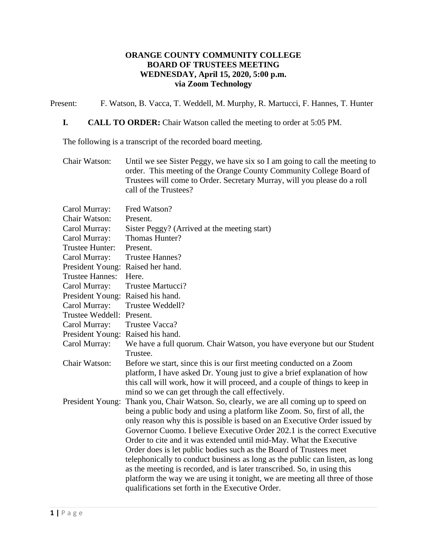# **ORANGE COUNTY COMMUNITY COLLEGE BOARD OF TRUSTEES MEETING WEDNESDAY, April 15, 2020, 5:00 p.m. via Zoom Technology**

Present: F. Watson, B. Vacca, T. Weddell, M. Murphy, R. Martucci, F. Hannes, T. Hunter

# **I. CALL TO ORDER:** Chair Watson called the meeting to order at 5:05 PM.

The following is a transcript of the recorded board meeting.

Chair Watson: Until we see Sister Peggy, we have six so I am going to call the meeting to order. This meeting of the Orange County Community College Board of Trustees will come to Order. Secretary Murray, will you please do a roll call of the Trustees?

| Fred Watson?                                                                                                                                           |
|--------------------------------------------------------------------------------------------------------------------------------------------------------|
| Present.                                                                                                                                               |
| Sister Peggy? (Arrived at the meeting start)                                                                                                           |
| Thomas Hunter?                                                                                                                                         |
| Present.                                                                                                                                               |
| <b>Trustee Hannes?</b>                                                                                                                                 |
| Raised her hand.                                                                                                                                       |
| Here.                                                                                                                                                  |
| Trustee Martucci?                                                                                                                                      |
| Raised his hand.                                                                                                                                       |
| Trustee Weddell?                                                                                                                                       |
| Present.                                                                                                                                               |
| Trustee Vacca?                                                                                                                                         |
| Raised his hand.                                                                                                                                       |
| We have a full quorum. Chair Watson, you have everyone but our Student                                                                                 |
| Trustee.                                                                                                                                               |
| Before we start, since this is our first meeting conducted on a Zoom                                                                                   |
| platform, I have asked Dr. Young just to give a brief explanation of how                                                                               |
| this call will work, how it will proceed, and a couple of things to keep in                                                                            |
| mind so we can get through the call effectively.                                                                                                       |
| Thank you, Chair Watson. So, clearly, we are all coming up to speed on                                                                                 |
| being a public body and using a platform like Zoom. So, first of all, the<br>only reason why this is possible is based on an Executive Order issued by |
| Governor Cuomo. I believe Executive Order 202.1 is the correct Executive                                                                               |
| Order to cite and it was extended until mid-May. What the Executive                                                                                    |
| Order does is let public bodies such as the Board of Trustees meet                                                                                     |
| telephonically to conduct business as long as the public can listen, as long                                                                           |
| as the meeting is recorded, and is later transcribed. So, in using this                                                                                |
| platform the way we are using it tonight, we are meeting all three of those                                                                            |
| qualifications set forth in the Executive Order.                                                                                                       |
|                                                                                                                                                        |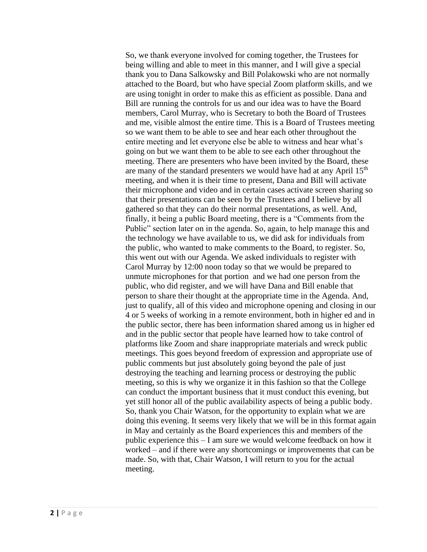So, we thank everyone involved for coming together, the Trustees for being willing and able to meet in this manner, and I will give a special thank you to Dana Salkowsky and Bill Polakowski who are not normally attached to the Board, but who have special Zoom platform skills, and we are using tonight in order to make this as efficient as possible. Dana and Bill are running the controls for us and our idea was to have the Board members, Carol Murray, who is Secretary to both the Board of Trustees and me, visible almost the entire time. This is a Board of Trustees meeting so we want them to be able to see and hear each other throughout the entire meeting and let everyone else be able to witness and hear what's going on but we want them to be able to see each other throughout the meeting. There are presenters who have been invited by the Board, these are many of the standard presenters we would have had at any April 15<sup>th</sup> meeting, and when it is their time to present, Dana and Bill will activate their microphone and video and in certain cases activate screen sharing so that their presentations can be seen by the Trustees and I believe by all gathered so that they can do their normal presentations, as well. And, finally, it being a public Board meeting, there is a "Comments from the Public" section later on in the agenda. So, again, to help manage this and the technology we have available to us, we did ask for individuals from the public, who wanted to make comments to the Board, to register. So, this went out with our Agenda. We asked individuals to register with Carol Murray by 12:00 noon today so that we would be prepared to unmute microphones for that portion and we had one person from the public, who did register, and we will have Dana and Bill enable that person to share their thought at the appropriate time in the Agenda. And, just to qualify, all of this video and microphone opening and closing in our 4 or 5 weeks of working in a remote environment, both in higher ed and in the public sector, there has been information shared among us in higher ed and in the public sector that people have learned how to take control of platforms like Zoom and share inappropriate materials and wreck public meetings. This goes beyond freedom of expression and appropriate use of public comments but just absolutely going beyond the pale of just destroying the teaching and learning process or destroying the public meeting, so this is why we organize it in this fashion so that the College can conduct the important business that it must conduct this evening, but yet still honor all of the public availability aspects of being a public body. So, thank you Chair Watson, for the opportunity to explain what we are doing this evening. It seems very likely that we will be in this format again in May and certainly as the Board experiences this and members of the public experience this – I am sure we would welcome feedback on how it worked – and if there were any shortcomings or improvements that can be made. So, with that, Chair Watson, I will return to you for the actual meeting.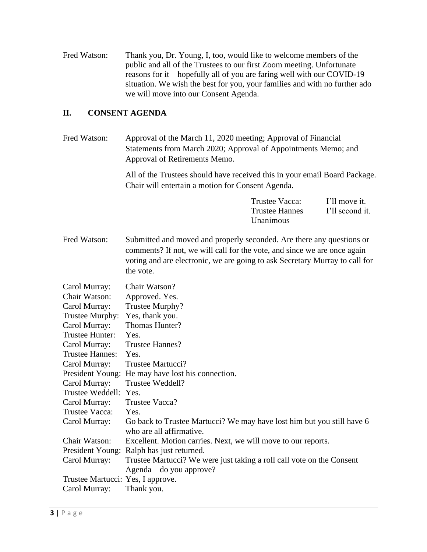Fred Watson: Thank you, Dr. Young, I, too, would like to welcome members of the public and all of the Trustees to our first Zoom meeting. Unfortunate reasons for it – hopefully all of you are faring well with our COVID-19 situation. We wish the best for you, your families and with no further ado we will move into our Consent Agenda.

# **II. CONSENT AGENDA**

| Fred Watson:                                                                                                                                                                                                                                                               | Approval of the March 11, 2020 meeting; Approval of Financial<br>Statements from March 2020; Approval of Appointments Memo; and<br>Approval of Retirements Memo.                                                                              |                                                      |                                  |
|----------------------------------------------------------------------------------------------------------------------------------------------------------------------------------------------------------------------------------------------------------------------------|-----------------------------------------------------------------------------------------------------------------------------------------------------------------------------------------------------------------------------------------------|------------------------------------------------------|----------------------------------|
|                                                                                                                                                                                                                                                                            | All of the Trustees should have received this in your email Board Package.<br>Chair will entertain a motion for Consent Agenda.                                                                                                               |                                                      |                                  |
|                                                                                                                                                                                                                                                                            |                                                                                                                                                                                                                                               | Trustee Vacca:<br><b>Trustee Hannes</b><br>Unanimous | I'll move it.<br>I'll second it. |
| Fred Watson:                                                                                                                                                                                                                                                               | Submitted and moved and properly seconded. Are there any questions or<br>comments? If not, we will call for the vote, and since we are once again<br>voting and are electronic, we are going to ask Secretary Murray to call for<br>the vote. |                                                      |                                  |
| Carol Murray:<br>Chair Watson:<br>Carol Murray:<br>Trustee Murphy:<br>Carol Murray:<br>Trustee Hunter:<br>Carol Murray:<br><b>Trustee Hannes:</b><br>Carol Murray:<br>President Young:<br>Carol Murray:<br>Trustee Weddell: Yes.<br>Carol Murray:<br><b>Trustee Vacca:</b> | Chair Watson?<br>Approved. Yes.<br>Trustee Murphy?<br>Yes, thank you.<br>Thomas Hunter?<br>Yes.<br><b>Trustee Hannes?</b><br>Yes.<br>Trustee Martucci?<br>He may have lost his connection.<br>Trustee Weddell?<br>Trustee Vacca?<br>Yes.      |                                                      |                                  |
| Carol Murray:                                                                                                                                                                                                                                                              | Go back to Trustee Martucci? We may have lost him but you still have 6<br>who are all affirmative.                                                                                                                                            |                                                      |                                  |
| Chair Watson:                                                                                                                                                                                                                                                              | Excellent. Motion carries. Next, we will move to our reports.                                                                                                                                                                                 |                                                      |                                  |
| President Young:                                                                                                                                                                                                                                                           | Ralph has just returned.                                                                                                                                                                                                                      |                                                      |                                  |
| Carol Murray:                                                                                                                                                                                                                                                              | Trustee Martucci? We were just taking a roll call vote on the Consent                                                                                                                                                                         |                                                      |                                  |
|                                                                                                                                                                                                                                                                            | Agenda – do you approve?                                                                                                                                                                                                                      |                                                      |                                  |
| Trustee Martucci: Yes, I approve.<br>Carol Murray:                                                                                                                                                                                                                         | Thank you.                                                                                                                                                                                                                                    |                                                      |                                  |
|                                                                                                                                                                                                                                                                            |                                                                                                                                                                                                                                               |                                                      |                                  |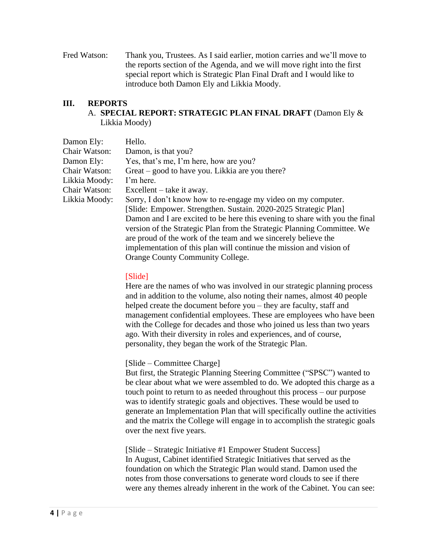Fred Watson: Thank you, Trustees. As I said earlier, motion carries and we'll move to the reports section of the Agenda, and we will move right into the first special report which is Strategic Plan Final Draft and I would like to introduce both Damon Ely and Likkia Moody.

# **III. REPORTS** A. **SPECIAL REPORT: STRATEGIC PLAN FINAL DRAFT** (Damon Ely & Likkia Moody)

| Damon Ely:    | Hello.                                                                      |
|---------------|-----------------------------------------------------------------------------|
| Chair Watson: | Damon, is that you?                                                         |
| Damon Ely:    | Yes, that's me, I'm here, how are you?                                      |
| Chair Watson: | Great – good to have you. Likkia are you there?                             |
| Likkia Moody: | I'm here.                                                                   |
| Chair Watson: | $\text{Excellent} - \text{take it away.}$                                   |
| Likkia Moody: | Sorry, I don't know how to re-engage my video on my computer.               |
|               | [Slide: Empower. Strengthen. Sustain. 2020-2025 Strategic Plan]             |
|               | Damon and I are excited to be here this evening to share with you the final |
|               | version of the Strategic Plan from the Strategic Planning Committee. We     |
|               | are proud of the work of the team and we sincerely believe the              |
|               | implementation of this plan will continue the mission and vision of         |
|               | Orange County Community College.                                            |

#### [Slide]

Here are the names of who was involved in our strategic planning process and in addition to the volume, also noting their names, almost 40 people helped create the document before you – they are faculty, staff and management confidential employees. These are employees who have been with the College for decades and those who joined us less than two years ago. With their diversity in roles and experiences, and of course, personality, they began the work of the Strategic Plan.

#### [Slide – Committee Charge]

But first, the Strategic Planning Steering Committee ("SPSC") wanted to be clear about what we were assembled to do. We adopted this charge as a touch point to return to as needed throughout this process – our purpose was to identify strategic goals and objectives. These would be used to generate an Implementation Plan that will specifically outline the activities and the matrix the College will engage in to accomplish the strategic goals over the next five years.

[Slide – Strategic Initiative #1 Empower Student Success] In August, Cabinet identified Strategic Initiatives that served as the foundation on which the Strategic Plan would stand. Damon used the notes from those conversations to generate word clouds to see if there were any themes already inherent in the work of the Cabinet. You can see: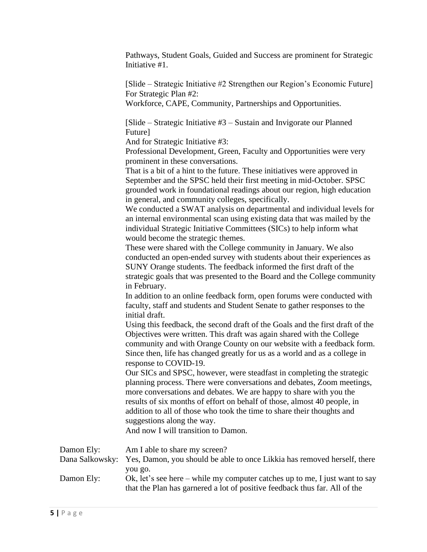Pathways, Student Goals, Guided and Success are prominent for Strategic Initiative #1.

[Slide – Strategic Initiative #2 Strengthen our Region's Economic Future] For Strategic Plan #2: Workforce, CAPE, Community, Partnerships and Opportunities.

[Slide – Strategic Initiative #3 – Sustain and Invigorate our Planned Future]

And for Strategic Initiative #3:

Professional Development, Green, Faculty and Opportunities were very prominent in these conversations.

That is a bit of a hint to the future. These initiatives were approved in September and the SPSC held their first meeting in mid-October. SPSC grounded work in foundational readings about our region, high education in general, and community colleges, specifically.

We conducted a SWAT analysis on departmental and individual levels for an internal environmental scan using existing data that was mailed by the individual Strategic Initiative Committees (SICs) to help inform what would become the strategic themes.

These were shared with the College community in January. We also conducted an open-ended survey with students about their experiences as SUNY Orange students. The feedback informed the first draft of the strategic goals that was presented to the Board and the College community in February.

In addition to an online feedback form, open forums were conducted with faculty, staff and students and Student Senate to gather responses to the initial draft.

Using this feedback, the second draft of the Goals and the first draft of the Objectives were written. This draft was again shared with the College community and with Orange County on our website with a feedback form. Since then, life has changed greatly for us as a world and as a college in response to COVID-19.

Our SICs and SPSC, however, were steadfast in completing the strategic planning process. There were conversations and debates, Zoom meetings, more conversations and debates. We are happy to share with you the results of six months of effort on behalf of those, almost 40 people, in addition to all of those who took the time to share their thoughts and suggestions along the way.

And now I will transition to Damon.

| Damon Ely: | Am I able to share my screen?                                                                                                                                        |
|------------|----------------------------------------------------------------------------------------------------------------------------------------------------------------------|
|            | Dana Salkowsky: Yes, Damon, you should be able to once Likkia has removed herself, there                                                                             |
| Damon Ely: | you go.<br>Ok, let's see here – while my computer catches up to me, I just want to say<br>that the Plan has garnered a lot of positive feedback thus far. All of the |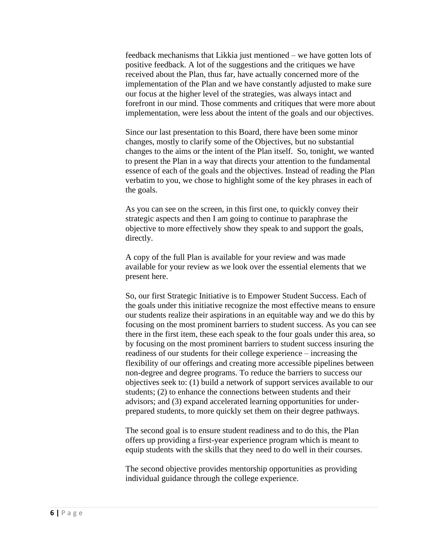feedback mechanisms that Likkia just mentioned – we have gotten lots of positive feedback. A lot of the suggestions and the critiques we have received about the Plan, thus far, have actually concerned more of the implementation of the Plan and we have constantly adjusted to make sure our focus at the higher level of the strategies, was always intact and forefront in our mind. Those comments and critiques that were more about implementation, were less about the intent of the goals and our objectives.

Since our last presentation to this Board, there have been some minor changes, mostly to clarify some of the Objectives, but no substantial changes to the aims or the intent of the Plan itself. So, tonight, we wanted to present the Plan in a way that directs your attention to the fundamental essence of each of the goals and the objectives. Instead of reading the Plan verbatim to you, we chose to highlight some of the key phrases in each of the goals.

As you can see on the screen, in this first one, to quickly convey their strategic aspects and then I am going to continue to paraphrase the objective to more effectively show they speak to and support the goals, directly.

A copy of the full Plan is available for your review and was made available for your review as we look over the essential elements that we present here.

So, our first Strategic Initiative is to Empower Student Success. Each of the goals under this initiative recognize the most effective means to ensure our students realize their aspirations in an equitable way and we do this by focusing on the most prominent barriers to student success. As you can see there in the first item, these each speak to the four goals under this area, so by focusing on the most prominent barriers to student success insuring the readiness of our students for their college experience – increasing the flexibility of our offerings and creating more accessible pipelines between non-degree and degree programs. To reduce the barriers to success our objectives seek to: (1) build a network of support services available to our students; (2) to enhance the connections between students and their advisors; and (3) expand accelerated learning opportunities for underprepared students, to more quickly set them on their degree pathways.

The second goal is to ensure student readiness and to do this, the Plan offers up providing a first-year experience program which is meant to equip students with the skills that they need to do well in their courses.

The second objective provides mentorship opportunities as providing individual guidance through the college experience.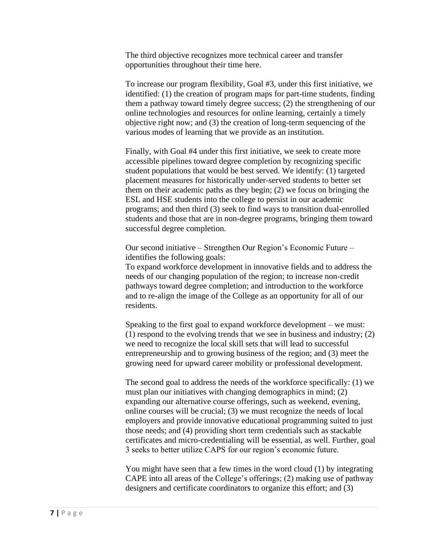The third objective recognizes more technical career and transfer opportunities throughout their time here.

To increase our program flexibility, Goal #3, under this first initiative, we identified: (1) the creation of program maps for part-time students, finding them a pathway toward timely degree success; (2) the strengthening of our online technologies and resources for online learning, certainly a timely objective right now; and (3) the creation of long-term sequencing of the various modes of learning that we provide as an institution.

Finally, with Goal #4 under this first initiative, we seek to create more accessible pipelines toward degree completion by recognizing specific student populations that would be best served. We identify: (1) targeted placement measures for historically under-served students to better set them on their academic paths as they begin; (2) we focus on bringing the ESL and HSE students into the college to persist in our academic programs; and then third (3) seek to find ways to transition dual-enrolled students and those that are in non-degree programs, bringing them toward successful degree completion.

Our second initiative – Strengthen Our Region's Economic Future – identifies the following goals:

To expand workforce development in innovative fields and to address the needs of our changing population of the region; to increase non-credit pathways toward degree completion; and introduction to the workforce and to re-align the image of the College as an opportunity for all of our residents.

Speaking to the first goal to expand workforce development – we must: (1) respond to the evolving trends that we see in business and industry; (2) we need to recognize the local skill sets that will lead to successful entrepreneurship and to growing business of the region; and (3) meet the growing need for upward career mobility or professional development.

The second goal to address the needs of the workforce specifically: (1) we must plan our initiatives with changing demographics in mind; (2) expanding our alternative course offerings, such as weekend, evening, online courses will be crucial; (3) we must recognize the needs of local employers and provide innovative educational programming suited to just those needs; and (4) providing short term credentials such as stackable certificates and micro-credentialing will be essential, as well. Further, goal 3 seeks to better utilize CAPS for our region's economic future.

You might have seen that a few times in the word cloud (1) by integrating CAPE into all areas of the College's offerings; (2) making use of pathway designers and certificate coordinators to organize this effort; and (3)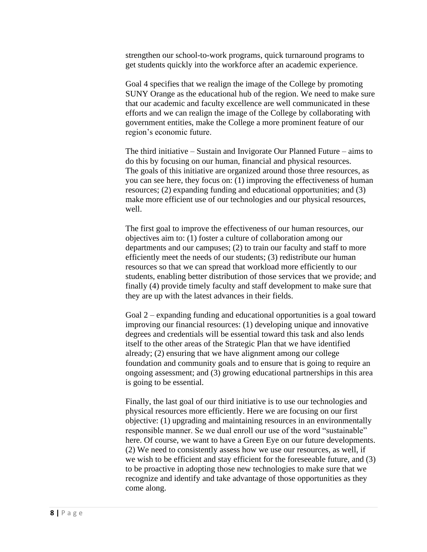strengthen our school-to-work programs, quick turnaround programs to get students quickly into the workforce after an academic experience.

Goal 4 specifies that we realign the image of the College by promoting SUNY Orange as the educational hub of the region. We need to make sure that our academic and faculty excellence are well communicated in these efforts and we can realign the image of the College by collaborating with government entities, make the College a more prominent feature of our region's economic future.

The third initiative – Sustain and Invigorate Our Planned Future – aims to do this by focusing on our human, financial and physical resources. The goals of this initiative are organized around those three resources, as you can see here, they focus on: (1) improving the effectiveness of human resources; (2) expanding funding and educational opportunities; and (3) make more efficient use of our technologies and our physical resources, well.

The first goal to improve the effectiveness of our human resources, our objectives aim to: (1) foster a culture of collaboration among our departments and our campuses; (2) to train our faculty and staff to more efficiently meet the needs of our students; (3) redistribute our human resources so that we can spread that workload more efficiently to our students, enabling better distribution of those services that we provide; and finally (4) provide timely faculty and staff development to make sure that they are up with the latest advances in their fields.

Goal 2 – expanding funding and educational opportunities is a goal toward improving our financial resources: (1) developing unique and innovative degrees and credentials will be essential toward this task and also lends itself to the other areas of the Strategic Plan that we have identified already; (2) ensuring that we have alignment among our college foundation and community goals and to ensure that is going to require an ongoing assessment; and (3) growing educational partnerships in this area is going to be essential.

Finally, the last goal of our third initiative is to use our technologies and physical resources more efficiently. Here we are focusing on our first objective: (1) upgrading and maintaining resources in an environmentally responsible manner. Se we dual enroll our use of the word "sustainable" here. Of course, we want to have a Green Eye on our future developments. (2) We need to consistently assess how we use our resources, as well, if we wish to be efficient and stay efficient for the foreseeable future, and (3) to be proactive in adopting those new technologies to make sure that we recognize and identify and take advantage of those opportunities as they come along.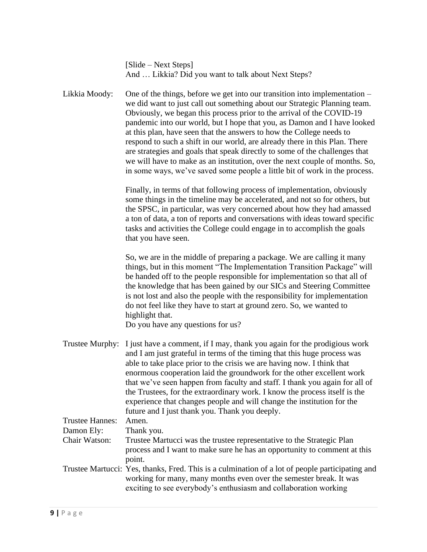| [Slide – Next Steps]                                |  |
|-----------------------------------------------------|--|
| And  Likkia? Did you want to talk about Next Steps? |  |

Likkia Moody: One of the things, before we get into our transition into implementation – we did want to just call out something about our Strategic Planning team. Obviously, we began this process prior to the arrival of the COVID-19 pandemic into our world, but I hope that you, as Damon and I have looked at this plan, have seen that the answers to how the College needs to respond to such a shift in our world, are already there in this Plan. There are strategies and goals that speak directly to some of the challenges that we will have to make as an institution, over the next couple of months. So, in some ways, we've saved some people a little bit of work in the process.

> Finally, in terms of that following process of implementation, obviously some things in the timeline may be accelerated, and not so for others, but the SPSC, in particular, was very concerned about how they had amassed a ton of data, a ton of reports and conversations with ideas toward specific tasks and activities the College could engage in to accomplish the goals that you have seen.

> So, we are in the middle of preparing a package. We are calling it many things, but in this moment "The Implementation Transition Package" will be handed off to the people responsible for implementation so that all of the knowledge that has been gained by our SICs and Steering Committee is not lost and also the people with the responsibility for implementation do not feel like they have to start at ground zero. So, we wanted to highlight that.

Do you have any questions for us?

Trustee Murphy: I just have a comment, if I may, thank you again for the prodigious work and I am just grateful in terms of the timing that this huge process was able to take place prior to the crisis we are having now. I think that enormous cooperation laid the groundwork for the other excellent work that we've seen happen from faculty and staff. I thank you again for all of the Trustees, for the extraordinary work. I know the process itself is the experience that changes people and will change the institution for the future and I just thank you. Thank you deeply. Trustee Hannes: Amen. Damon Ely: Thank you. Chair Watson: Trustee Martucci was the trustee representative to the Strategic Plan process and I want to make sure he has an opportunity to comment at this point. Trustee Martucci: Yes, thanks, Fred. This is a culmination of a lot of people participating and working for many, many months even over the semester break. It was

exciting to see everybody's enthusiasm and collaboration working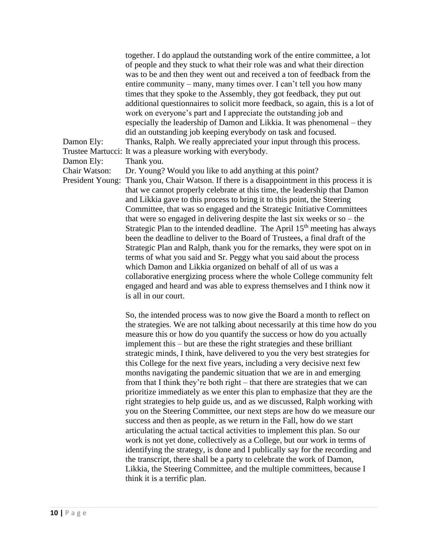together. I do applaud the outstanding work of the entire committee, a lot of people and they stuck to what their role was and what their direction was to be and then they went out and received a ton of feedback from the entire community – many, many times over. I can't tell you how many times that they spoke to the Assembly, they got feedback, they put out additional questionnaires to solicit more feedback, so again, this is a lot of work on everyone's part and I appreciate the outstanding job and especially the leadership of Damon and Likkia. It was phenomenal – they did an outstanding job keeping everybody on task and focused. Damon Ely: Thanks, Ralph. We really appreciated your input through this process. Trustee Martucci: It was a pleasure working with everybody. Damon Ely: Thank you. Chair Watson: Dr. Young? Would you like to add anything at this point? President Young: Thank you, Chair Watson. If there is a disappointment in this process it is that we cannot properly celebrate at this time, the leadership that Damon and Likkia gave to this process to bring it to this point, the Steering Committee, that was so engaged and the Strategic Initiative Committees that were so engaged in delivering despite the last six weeks or so – the Strategic Plan to the intended deadline. The April  $15<sup>th</sup>$  meeting has always been the deadline to deliver to the Board of Trustees, a final draft of the Strategic Plan and Ralph, thank you for the remarks, they were spot on in terms of what you said and Sr. Peggy what you said about the process which Damon and Likkia organized on behalf of all of us was a collaborative energizing process where the whole College community felt engaged and heard and was able to express themselves and I think now it is all in our court.

> So, the intended process was to now give the Board a month to reflect on the strategies. We are not talking about necessarily at this time how do you measure this or how do you quantify the success or how do you actually implement this – but are these the right strategies and these brilliant strategic minds, I think, have delivered to you the very best strategies for this College for the next five years, including a very decisive next few months navigating the pandemic situation that we are in and emerging from that I think they're both right – that there are strategies that we can prioritize immediately as we enter this plan to emphasize that they are the right strategies to help guide us, and as we discussed, Ralph working with you on the Steering Committee, our next steps are how do we measure our success and then as people, as we return in the Fall, how do we start articulating the actual tactical activities to implement this plan. So our work is not yet done, collectively as a College, but our work in terms of identifying the strategy, is done and I publically say for the recording and the transcript, there shall be a party to celebrate the work of Damon, Likkia, the Steering Committee, and the multiple committees, because I think it is a terrific plan.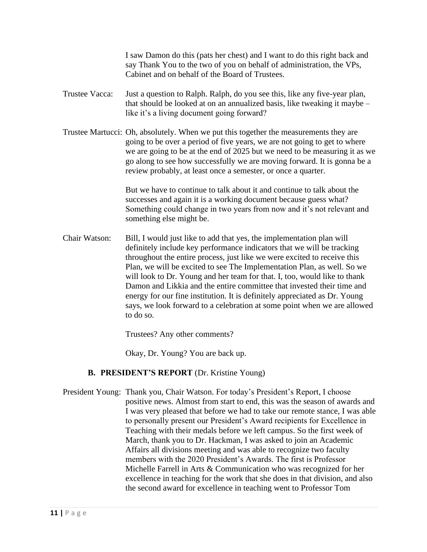I saw Damon do this (pats her chest) and I want to do this right back and say Thank You to the two of you on behalf of administration, the VPs, Cabinet and on behalf of the Board of Trustees.

- Trustee Vacca: Just a question to Ralph. Ralph, do you see this, like any five-year plan, that should be looked at on an annualized basis, like tweaking it maybe – like it's a living document going forward?
- Trustee Martucci: Oh, absolutely. When we put this together the measurements they are going to be over a period of five years, we are not going to get to where we are going to be at the end of 2025 but we need to be measuring it as we go along to see how successfully we are moving forward. It is gonna be a review probably, at least once a semester, or once a quarter.

But we have to continue to talk about it and continue to talk about the successes and again it is a working document because guess what? Something could change in two years from now and it's not relevant and something else might be.

Chair Watson: Bill, I would just like to add that yes, the implementation plan will definitely include key performance indicators that we will be tracking throughout the entire process, just like we were excited to receive this Plan, we will be excited to see The Implementation Plan, as well. So we will look to Dr. Young and her team for that. I, too, would like to thank Damon and Likkia and the entire committee that invested their time and energy for our fine institution. It is definitely appreciated as Dr. Young says, we look forward to a celebration at some point when we are allowed to do so.

Trustees? Any other comments?

Okay, Dr. Young? You are back up.

# **B. PRESIDENT'S REPORT** (Dr. Kristine Young)

President Young: Thank you, Chair Watson. For today's President's Report, I choose positive news. Almost from start to end, this was the season of awards and I was very pleased that before we had to take our remote stance, I was able to personally present our President's Award recipients for Excellence in Teaching with their medals before we left campus. So the first week of March, thank you to Dr. Hackman, I was asked to join an Academic Affairs all divisions meeting and was able to recognize two faculty members with the 2020 President's Awards. The first is Professor Michelle Farrell in Arts & Communication who was recognized for her excellence in teaching for the work that she does in that division, and also the second award for excellence in teaching went to Professor Tom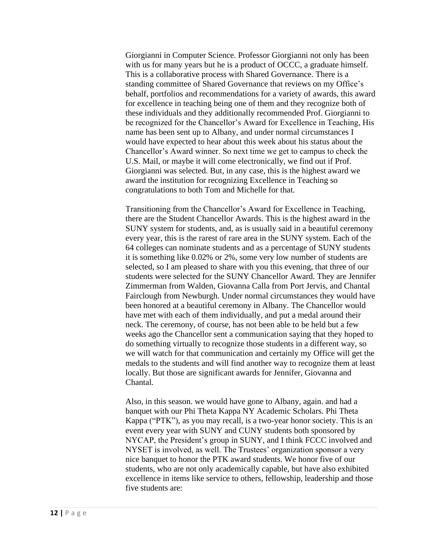Giorgianni in Computer Science. Professor Giorgianni not only has been with us for many years but he is a product of OCCC, a graduate himself. This is a collaborative process with Shared Governance. There is a standing committee of Shared Governance that reviews on my Office's behalf, portfolios and recommendations for a variety of awards, this award for excellence in teaching being one of them and they recognize both of these individuals and they additionally recommended Prof. Giorgianni to be recognized for the Chancellor's Award for Excellence in Teaching, His name has been sent up to Albany, and under normal circumstances I would have expected to hear about this week about his status about the Chancellor's Award winner. So next time we get to campus to check the U.S. Mail, or maybe it will come electronically, we find out if Prof. Giorgianni was selected. But, in any case, this is the highest award we award the institution for recognizing Excellence in Teaching so congratulations to both Tom and Michelle for that.

Transitioning from the Chancellor's Award for Excellence in Teaching, there are the Student Chancellor Awards. This is the highest award in the SUNY system for students, and, as is usually said in a beautiful ceremony every year, this is the rarest of rare area in the SUNY system. Each of the 64 colleges can nominate students and as a percentage of SUNY students it is something like 0.02% or 2%, some very low number of students are selected, so I am pleased to share with you this evening, that three of our students were selected for the SUNY Chancellor Award. They are Jennifer Zimmerman from Walden, Giovanna Calla from Port Jervis, and Chantal Fairclough from Newburgh. Under normal circumstances they would have been honored at a beautiful ceremony in Albany. The Chancellor would have met with each of them individually, and put a medal around their neck. The ceremony, of course, has not been able to be held but a few weeks ago the Chancellor sent a communication saying that they hoped to do something virtually to recognize those students in a different way, so we will watch for that communication and certainly my Office will get the medals to the students and will find another way to recognize them at least locally. But those are significant awards for Jennifer, Giovanna and Chantal.

Also, in this season. we would have gone to Albany, again. and had a banquet with our Phi Theta Kappa NY Academic Scholars. Phi Theta Kappa ("PTK"), as you may recall, is a two-year honor society. This is an event every year with SUNY and CUNY students both sponsored by NYCAP, the President's group in SUNY, and I think FCCC involved and NYSET is involved, as well. The Trustees' organization sponsor a very nice banquet to honor the PTK award students. We honor five of our students, who are not only academically capable, but have also exhibited excellence in items like service to others, fellowship, leadership and those five students are: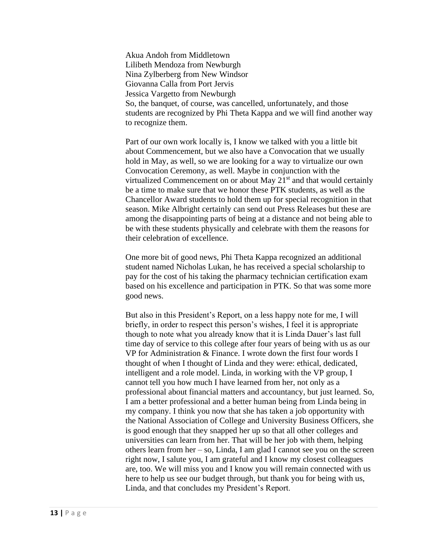Akua Andoh from Middletown Lilibeth Mendoza from Newburgh Nina Zylberberg from New Windsor Giovanna Calla from Port Jervis Jessica Vargetto from Newburgh So, the banquet, of course, was cancelled, unfortunately, and those students are recognized by Phi Theta Kappa and we will find another way to recognize them.

Part of our own work locally is, I know we talked with you a little bit about Commencement, but we also have a Convocation that we usually hold in May, as well, so we are looking for a way to virtualize our own Convocation Ceremony, as well. Maybe in conjunction with the virtualized Commencement on or about May 21<sup>st</sup> and that would certainly be a time to make sure that we honor these PTK students, as well as the Chancellor Award students to hold them up for special recognition in that season. Mike Albright certainly can send out Press Releases but these are among the disappointing parts of being at a distance and not being able to be with these students physically and celebrate with them the reasons for their celebration of excellence.

One more bit of good news, Phi Theta Kappa recognized an additional student named Nicholas Lukan, he has received a special scholarship to pay for the cost of his taking the pharmacy technician certification exam based on his excellence and participation in PTK. So that was some more good news.

But also in this President's Report, on a less happy note for me, I will briefly, in order to respect this person's wishes, I feel it is appropriate though to note what you already know that it is Linda Dauer's last full time day of service to this college after four years of being with us as our VP for Administration & Finance. I wrote down the first four words I thought of when I thought of Linda and they were: ethical, dedicated, intelligent and a role model. Linda, in working with the VP group, I cannot tell you how much I have learned from her, not only as a professional about financial matters and accountancy, but just learned. So, I am a better professional and a better human being from Linda being in my company. I think you now that she has taken a job opportunity with the National Association of College and University Business Officers, she is good enough that they snapped her up so that all other colleges and universities can learn from her. That will be her job with them, helping others learn from her – so, Linda, I am glad I cannot see you on the screen right now, I salute you, I am grateful and I know my closest colleagues are, too. We will miss you and I know you will remain connected with us here to help us see our budget through, but thank you for being with us, Linda, and that concludes my President's Report.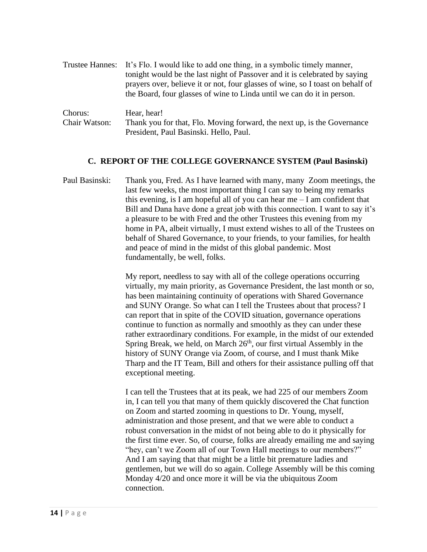|               | Trustee Hannes: It's Flo. I would like to add one thing, in a symbolic timely manner,<br>tonight would be the last night of Passover and it is celebrated by saying<br>prayers over, believe it or not, four glasses of wine, so I toast on behalf of<br>the Board, four glasses of wine to Linda until we can do it in person. |
|---------------|---------------------------------------------------------------------------------------------------------------------------------------------------------------------------------------------------------------------------------------------------------------------------------------------------------------------------------|
| Chorus:       | Hear, hear!                                                                                                                                                                                                                                                                                                                     |
| Chair Watson: | Thank you for that, Flo. Moving forward, the next up, is the Governance                                                                                                                                                                                                                                                         |

President, Paul Basinski. Hello, Paul.

# **C. REPORT OF THE COLLEGE GOVERNANCE SYSTEM (Paul Basinski)**

Paul Basinski: Thank you, Fred. As I have learned with many, many Zoom meetings, the last few weeks, the most important thing I can say to being my remarks this evening, is I am hopeful all of you can hear me  $-I$  am confident that Bill and Dana have done a great job with this connection. I want to say it's a pleasure to be with Fred and the other Trustees this evening from my home in PA, albeit virtually, I must extend wishes to all of the Trustees on behalf of Shared Governance, to your friends, to your families, for health and peace of mind in the midst of this global pandemic. Most fundamentally, be well, folks.

> My report, needless to say with all of the college operations occurring virtually, my main priority, as Governance President, the last month or so, has been maintaining continuity of operations with Shared Governance and SUNY Orange. So what can I tell the Trustees about that process? I can report that in spite of the COVID situation, governance operations continue to function as normally and smoothly as they can under these rather extraordinary conditions. For example, in the midst of our extended Spring Break, we held, on March  $26<sup>th</sup>$ , our first virtual Assembly in the history of SUNY Orange via Zoom, of course, and I must thank Mike Tharp and the IT Team, Bill and others for their assistance pulling off that exceptional meeting.

> I can tell the Trustees that at its peak, we had 225 of our members Zoom in, I can tell you that many of them quickly discovered the Chat function on Zoom and started zooming in questions to Dr. Young, myself, administration and those present, and that we were able to conduct a robust conversation in the midst of not being able to do it physically for the first time ever. So, of course, folks are already emailing me and saying "hey, can't we Zoom all of our Town Hall meetings to our members?" And I am saying that that might be a little bit premature ladies and gentlemen, but we will do so again. College Assembly will be this coming Monday 4/20 and once more it will be via the ubiquitous Zoom connection.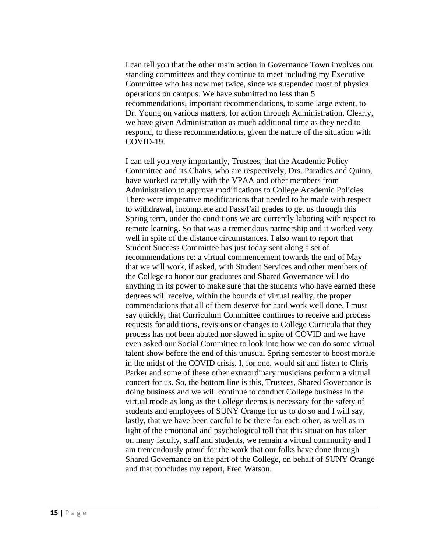I can tell you that the other main action in Governance Town involves our standing committees and they continue to meet including my Executive Committee who has now met twice, since we suspended most of physical operations on campus. We have submitted no less than 5 recommendations, important recommendations, to some large extent, to Dr. Young on various matters, for action through Administration. Clearly, we have given Administration as much additional time as they need to respond, to these recommendations, given the nature of the situation with COVID-19.

I can tell you very importantly, Trustees, that the Academic Policy Committee and its Chairs, who are respectively, Drs. Paradies and Quinn, have worked carefully with the VPAA and other members from Administration to approve modifications to College Academic Policies. There were imperative modifications that needed to be made with respect to withdrawal, incomplete and Pass/Fail grades to get us through this Spring term, under the conditions we are currently laboring with respect to remote learning. So that was a tremendous partnership and it worked very well in spite of the distance circumstances. I also want to report that Student Success Committee has just today sent along a set of recommendations re: a virtual commencement towards the end of May that we will work, if asked, with Student Services and other members of the College to honor our graduates and Shared Governance will do anything in its power to make sure that the students who have earned these degrees will receive, within the bounds of virtual reality, the proper commendations that all of them deserve for hard work well done. I must say quickly, that Curriculum Committee continues to receive and process requests for additions, revisions or changes to College Curricula that they process has not been abated nor slowed in spite of COVID and we have even asked our Social Committee to look into how we can do some virtual talent show before the end of this unusual Spring semester to boost morale in the midst of the COVID crisis. I, for one, would sit and listen to Chris Parker and some of these other extraordinary musicians perform a virtual concert for us. So, the bottom line is this, Trustees, Shared Governance is doing business and we will continue to conduct College business in the virtual mode as long as the College deems is necessary for the safety of students and employees of SUNY Orange for us to do so and I will say, lastly, that we have been careful to be there for each other, as well as in light of the emotional and psychological toll that this situation has taken on many faculty, staff and students, we remain a virtual community and I am tremendously proud for the work that our folks have done through Shared Governance on the part of the College, on behalf of SUNY Orange and that concludes my report, Fred Watson.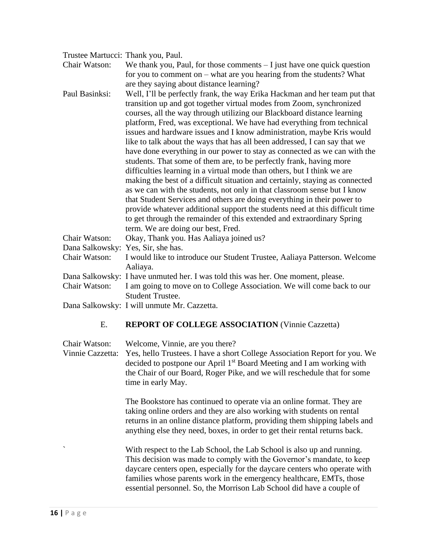| Trustee Martucci: Thank you, Paul. |                                                                                                                                                                                                                               |
|------------------------------------|-------------------------------------------------------------------------------------------------------------------------------------------------------------------------------------------------------------------------------|
| Chair Watson:                      | We thank you, Paul, for those comments $-$ I just have one quick question                                                                                                                                                     |
|                                    | for you to comment on – what are you hearing from the students? What                                                                                                                                                          |
|                                    | are they saying about distance learning?                                                                                                                                                                                      |
| Paul Basinksi:                     | Well, I'll be perfectly frank, the way Erika Hackman and her team put that<br>transition up and got together virtual modes from Zoom, synchronized<br>courses, all the way through utilizing our Blackboard distance learning |
|                                    | platform, Fred, was exceptional. We have had everything from technical                                                                                                                                                        |
|                                    | issues and hardware issues and I know administration, maybe Kris would                                                                                                                                                        |
|                                    | like to talk about the ways that has all been addressed, I can say that we                                                                                                                                                    |
|                                    | have done everything in our power to stay as connected as we can with the                                                                                                                                                     |
|                                    | students. That some of them are, to be perfectly frank, having more                                                                                                                                                           |
|                                    | difficulties learning in a virtual mode than others, but I think we are                                                                                                                                                       |
|                                    | making the best of a difficult situation and certainly, staying as connected                                                                                                                                                  |
|                                    | as we can with the students, not only in that classroom sense but I know<br>that Student Services and others are doing everything in their power to                                                                           |
|                                    | provide whatever additional support the students need at this difficult time                                                                                                                                                  |
|                                    | to get through the remainder of this extended and extraordinary Spring                                                                                                                                                        |
|                                    | term. We are doing our best, Fred.                                                                                                                                                                                            |
| Chair Watson:                      | Okay, Thank you. Has Aaliaya joined us?                                                                                                                                                                                       |
| Dana Salkowsky: Yes, Sir, she has. |                                                                                                                                                                                                                               |
| Chair Watson:                      | I would like to introduce our Student Trustee, Aaliaya Patterson. Welcome                                                                                                                                                     |
|                                    | Aaliaya.                                                                                                                                                                                                                      |
|                                    | Dana Salkowsky: I have unmuted her. I was told this was her. One moment, please.                                                                                                                                              |
| Chair Watson:                      | I am going to move on to College Association. We will come back to our                                                                                                                                                        |
|                                    | <b>Student Trustee.</b>                                                                                                                                                                                                       |
|                                    | Dana Salkowsky: I will unmute Mr. Cazzetta.                                                                                                                                                                                   |

### E. **REPORT OF COLLEGE ASSOCIATION** (Vinnie Cazzetta)

Chair Watson: Welcome, Vinnie, are you there? Vinnie Cazzetta: Yes, hello Trustees. I have a short College Association Report for you. We decided to postpone our April 1<sup>st</sup> Board Meeting and I am working with the Chair of our Board, Roger Pike, and we will reschedule that for some time in early May.

> The Bookstore has continued to operate via an online format. They are taking online orders and they are also working with students on rental returns in an online distance platform, providing them shipping labels and anything else they need, boxes, in order to get their rental returns back.

> With respect to the Lab School, the Lab School is also up and running. This decision was made to comply with the Governor's mandate, to keep daycare centers open, especially for the daycare centers who operate with families whose parents work in the emergency healthcare, EMTs, those essential personnel. So, the Morrison Lab School did have a couple of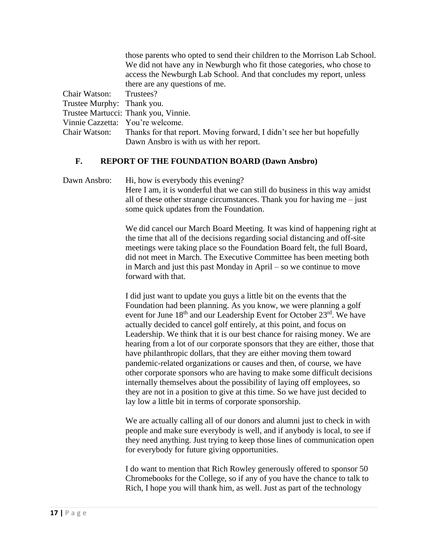|                                  | those parents who opted to send their children to the Morrison Lab School. |
|----------------------------------|----------------------------------------------------------------------------|
|                                  | We did not have any in Newburgh who fit those categories, who chose to     |
|                                  | access the Newburgh Lab School. And that concludes my report, unless       |
|                                  | there are any questions of me.                                             |
| Chair Watson:                    | Trustees?                                                                  |
| Trustee Murphy: Thank you.       |                                                                            |
|                                  | Trustee Martucci: Thank you, Vinnie.                                       |
| Vinnie Cazzetta: You're welcome. |                                                                            |
| Chair Watson:                    | Thanks for that report. Moving forward, I didn't see her but hopefully     |
|                                  | Dawn Ansbro is with us with her report.                                    |

### **F. REPORT OF THE FOUNDATION BOARD (Dawn Ansbro)**

Dawn Ansbro: Hi, how is everybody this evening? Here I am, it is wonderful that we can still do business in this way amidst all of these other strange circumstances. Thank you for having me – just some quick updates from the Foundation.

> We did cancel our March Board Meeting. It was kind of happening right at the time that all of the decisions regarding social distancing and off-site meetings were taking place so the Foundation Board felt, the full Board, did not meet in March. The Executive Committee has been meeting both in March and just this past Monday in April – so we continue to move forward with that.

> I did just want to update you guys a little bit on the events that the Foundation had been planning. As you know, we were planning a golf event for June 18<sup>th</sup> and our Leadership Event for October 23<sup>rd</sup>. We have actually decided to cancel golf entirely, at this point, and focus on Leadership. We think that it is our best chance for raising money. We are hearing from a lot of our corporate sponsors that they are either, those that have philanthropic dollars, that they are either moving them toward pandemic-related organizations or causes and then, of course, we have other corporate sponsors who are having to make some difficult decisions internally themselves about the possibility of laying off employees, so they are not in a position to give at this time. So we have just decided to lay low a little bit in terms of corporate sponsorship.

> We are actually calling all of our donors and alumni just to check in with people and make sure everybody is well, and if anybody is local, to see if they need anything. Just trying to keep those lines of communication open for everybody for future giving opportunities.

I do want to mention that Rich Rowley generously offered to sponsor 50 Chromebooks for the College, so if any of you have the chance to talk to Rich, I hope you will thank him, as well. Just as part of the technology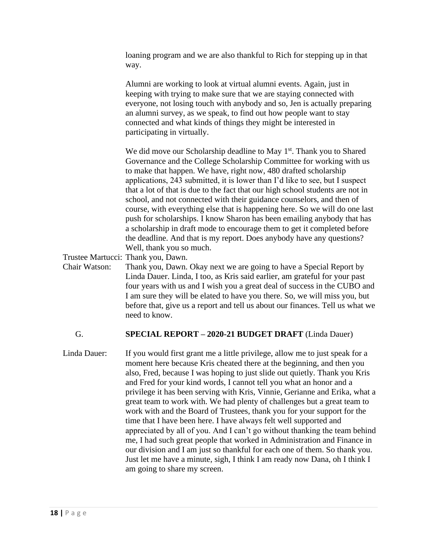|               | loaning program and we are also thankful to Rich for stepping up in that<br>way.                                                                                                                                                                                                                                                                                                                                                                                                                                                                                                                                                                                                                                                                                                                          |
|---------------|-----------------------------------------------------------------------------------------------------------------------------------------------------------------------------------------------------------------------------------------------------------------------------------------------------------------------------------------------------------------------------------------------------------------------------------------------------------------------------------------------------------------------------------------------------------------------------------------------------------------------------------------------------------------------------------------------------------------------------------------------------------------------------------------------------------|
|               | Alumni are working to look at virtual alumni events. Again, just in<br>keeping with trying to make sure that we are staying connected with<br>everyone, not losing touch with anybody and so, Jen is actually preparing<br>an alumni survey, as we speak, to find out how people want to stay<br>connected and what kinds of things they might be interested in<br>participating in virtually.                                                                                                                                                                                                                                                                                                                                                                                                            |
|               | We did move our Scholarship deadline to May $1st$ . Thank you to Shared<br>Governance and the College Scholarship Committee for working with us<br>to make that happen. We have, right now, 480 drafted scholarship<br>applications, 243 submitted, it is lower than I'd like to see, but I suspect<br>that a lot of that is due to the fact that our high school students are not in<br>school, and not connected with their guidance counselors, and then of<br>course, with everything else that is happening here. So we will do one last<br>push for scholarships. I know Sharon has been emailing anybody that has<br>a scholarship in draft mode to encourage them to get it completed before<br>the deadline. And that is my report. Does anybody have any questions?<br>Well, thank you so much. |
|               | Trustee Martucci: Thank you, Dawn.                                                                                                                                                                                                                                                                                                                                                                                                                                                                                                                                                                                                                                                                                                                                                                        |
| Chair Watson: | Thank you, Dawn. Okay next we are going to have a Special Report by<br>Linda Dauer. Linda, I too, as Kris said earlier, am grateful for your past<br>four years with us and I wish you a great deal of success in the CUBO and<br>I am sure they will be elated to have you there. So, we will miss you, but<br>before that, give us a report and tell us about our finances. Tell us what we                                                                                                                                                                                                                                                                                                                                                                                                             |

### G. **SPECIAL REPORT – 2020-21 BUDGET DRAFT** (Linda Dauer)

need to know.

Linda Dauer: If you would first grant me a little privilege, allow me to just speak for a moment here because Kris cheated there at the beginning, and then you also, Fred, because I was hoping to just slide out quietly. Thank you Kris and Fred for your kind words, I cannot tell you what an honor and a privilege it has been serving with Kris, Vinnie, Gerianne and Erika, what a great team to work with. We had plenty of challenges but a great team to work with and the Board of Trustees, thank you for your support for the time that I have been here. I have always felt well supported and appreciated by all of you. And I can't go without thanking the team behind me, I had such great people that worked in Administration and Finance in our division and I am just so thankful for each one of them. So thank you. Just let me have a minute, sigh, I think I am ready now Dana, oh I think I am going to share my screen.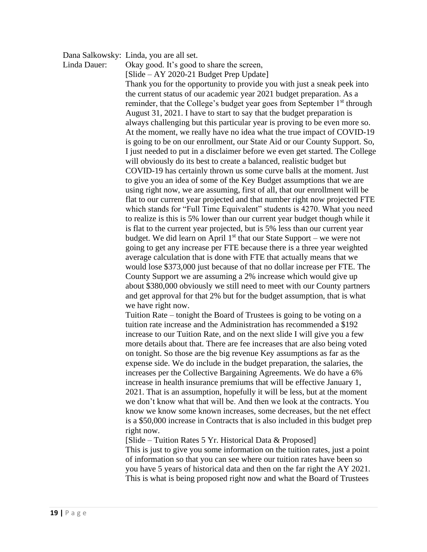Dana Salkowsky: Linda, you are all set.

Linda Dauer: Okay good. It's good to share the screen,

[Slide – AY 2020-21 Budget Prep Update]

Thank you for the opportunity to provide you with just a sneak peek into the current status of our academic year 2021 budget preparation. As a reminder, that the College's budget year goes from September 1<sup>st</sup> through August 31, 2021. I have to start to say that the budget preparation is always challenging but this particular year is proving to be even more so. At the moment, we really have no idea what the true impact of COVID-19 is going to be on our enrollment, our State Aid or our County Support. So, I just needed to put in a disclaimer before we even get started. The College will obviously do its best to create a balanced, realistic budget but COVID-19 has certainly thrown us some curve balls at the moment. Just to give you an idea of some of the Key Budget assumptions that we are using right now, we are assuming, first of all, that our enrollment will be flat to our current year projected and that number right now projected FTE which stands for "Full Time Equivalent" students is 4270. What you need to realize is this is 5% lower than our current year budget though while it is flat to the current year projected, but is 5% less than our current year budget. We did learn on April  $1<sup>st</sup>$  that our State Support – we were not going to get any increase per FTE because there is a three year weighted average calculation that is done with FTE that actually means that we would lose \$373,000 just because of that no dollar increase per FTE. The County Support we are assuming a 2% increase which would give up about \$380,000 obviously we still need to meet with our County partners and get approval for that 2% but for the budget assumption, that is what we have right now.

Tuition Rate – tonight the Board of Trustees is going to be voting on a tuition rate increase and the Administration has recommended a \$192 increase to our Tuition Rate, and on the next slide I will give you a few more details about that. There are fee increases that are also being voted on tonight. So those are the big revenue Key assumptions as far as the expense side. We do include in the budget preparation, the salaries, the increases per the Collective Bargaining Agreements. We do have a 6% increase in health insurance premiums that will be effective January 1, 2021. That is an assumption, hopefully it will be less, but at the moment we don't know what that will be. And then we look at the contracts. You know we know some known increases, some decreases, but the net effect is a \$50,000 increase in Contracts that is also included in this budget prep right now.

[Slide – Tuition Rates 5 Yr. Historical Data & Proposed]

This is just to give you some information on the tuition rates, just a point of information so that you can see where our tuition rates have been so you have 5 years of historical data and then on the far right the AY 2021. This is what is being proposed right now and what the Board of Trustees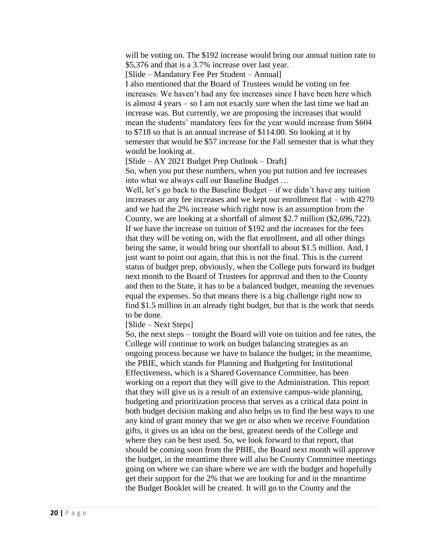will be voting on. The \$192 increase would bring our annual tuition rate to \$5,376 and that is a 3.7% increase over last year.

[Slide – Mandatory Fee Per Student – Annual]

I also mentioned that the Board of Trustees would be voting on fee increases. We haven't had any fee increases since I have been here which is almost 4 years – so I am not exactly sure when the last time we had an increase was. But currently, we are proposing the increases that would mean the students' mandatory fees for the year would increase from \$604 to \$718 so that is an annual increase of \$114.00. So looking at it by semester that would be \$57 increase for the Fall semester that is what they would be looking at.

[Slide – AY 2021 Budget Prep Outlook – Draft]

So, when you put these numbers, when you put tuition and fee increases into what we always call our Baseline Budget …

Well, let's go back to the Baseline Budget – if we didn't have any tuition increases or any fee increases and we kept our enrollment flat – with 4270 and we had the 2% increase which right now is an assumption from the County, we are looking at a shortfall of almost \$2.7 million (\$2,696,722). If we have the increase on tuition of \$192 and the increases for the fees that they will be voting on, with the flat enrollment, and all other things being the same, it would bring our shortfall to about \$1.5 million. And, I just want to point out again, that this is not the final. This is the current status of budget prep, obviously, when the College puts forward its budget next month to the Board of Trustees for approval and then to the County and then to the State, it has to be a balanced budget, meaning the revenues equal the expenses. So that means there is a big challenge right now to find \$1.5 million in an already tight budget, but that is the work that needs to be done.

[Slide – Next Steps]

So, the next steps – tonight the Board will vote on tuition and fee rates, the College will continue to work on budget balancing strategies as an ongoing process because we have to balance the budget; in the meantime, the PBIE, which stands for Planning and Budgeting for Institutional Effectiveness, which is a Shared Governance Committee, has been working on a report that they will give to the Administration. This report that they will give us is a result of an extensive campus-wide planning, budgeting and prioritization process that serves as a critical data point in both budget decision making and also helps us to find the best ways to use any kind of grant money that we get or also when we receive Foundation gifts, it gives us an idea on the best, greatest needs of the College and where they can be best used. So, we look forward to that report, that should be coming soon from the PBIE, the Board next month will approve the budget, in the meantime there will also be County Committee meetings going on where we can share where we are with the budget and hopefully get their support for the 2% that we are looking for and in the meantime the Budget Booklet will be created. It will go to the County and the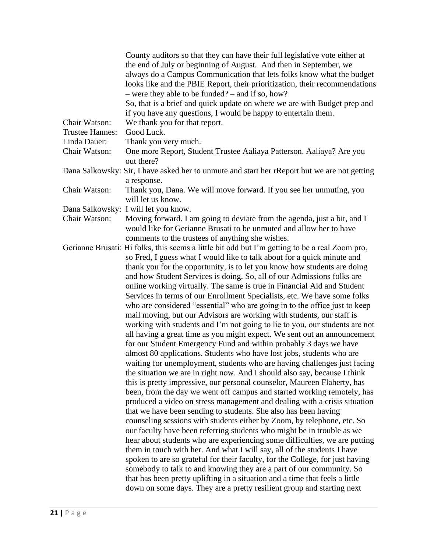|                        | County auditors so that they can have their full legislative vote either at                    |
|------------------------|------------------------------------------------------------------------------------------------|
|                        | the end of July or beginning of August. And then in September, we                              |
|                        | always do a Campus Communication that lets folks know what the budget                          |
|                        | looks like and the PBIE Report, their prioritization, their recommendations                    |
|                        | $-$ were they able to be funded? $-$ and if so, how?                                           |
|                        | So, that is a brief and quick update on where we are with Budget prep and                      |
|                        | if you have any questions, I would be happy to entertain them.                                 |
| Chair Watson:          | We thank you for that report.                                                                  |
| <b>Trustee Hannes:</b> | Good Luck.                                                                                     |
| Linda Dauer:           | Thank you very much.                                                                           |
| Chair Watson:          | One more Report, Student Trustee Aaliaya Patterson. Aaliaya? Are you                           |
|                        | out there?                                                                                     |
|                        |                                                                                                |
|                        | Dana Salkowsky: Sir, I have asked her to unmute and start her rReport but we are not getting   |
|                        | a response.                                                                                    |
| Chair Watson:          | Thank you, Dana. We will move forward. If you see her unmuting, you<br>will let us know.       |
|                        | Dana Salkowsky: I will let you know.                                                           |
| Chair Watson:          | Moving forward. I am going to deviate from the agenda, just a bit, and I                       |
|                        | would like for Gerianne Brusati to be unmuted and allow her to have                            |
|                        | comments to the trustees of anything she wishes.                                               |
|                        | Gerianne Brusati: Hi folks, this seems a little bit odd but I'm getting to be a real Zoom pro, |
|                        | so Fred, I guess what I would like to talk about for a quick minute and                        |
|                        | thank you for the opportunity, is to let you know how students are doing                       |
|                        | and how Student Services is doing. So, all of our Admissions folks are                         |
|                        | online working virtually. The same is true in Financial Aid and Student                        |
|                        | Services in terms of our Enrollment Specialists, etc. We have some folks                       |
|                        | who are considered "essential" who are going in to the office just to keep                     |
|                        | mail moving, but our Advisors are working with students, our staff is                          |
|                        | working with students and I'm not going to lie to you, our students are not                    |
|                        |                                                                                                |
|                        | all having a great time as you might expect. We sent out an announcement                       |
|                        | for our Student Emergency Fund and within probably 3 days we have                              |
|                        | almost 80 applications. Students who have lost jobs, students who are                          |
|                        | waiting for unemployment, students who are having challenges just facing                       |
|                        | the situation we are in right now. And I should also say, because I think                      |
|                        | this is pretty impressive, our personal counselor, Maureen Flaherty, has                       |
|                        | been, from the day we went off campus and started working remotely, has                        |
|                        | produced a video on stress management and dealing with a crisis situation                      |
|                        | that we have been sending to students. She also has been having                                |
|                        | counseling sessions with students either by Zoom, by telephone, etc. So                        |
|                        | our faculty have been referring students who might be in trouble as we                         |
|                        | hear about students who are experiencing some difficulties, we are putting                     |
|                        | them in touch with her. And what I will say, all of the students I have                        |
|                        | spoken to are so grateful for their faculty, for the College, for just having                  |
|                        | somebody to talk to and knowing they are a part of our community. So                           |
|                        | that has been pretty uplifting in a situation and a time that feels a little                   |
|                        | down on some days. They are a pretty resilient group and starting next                         |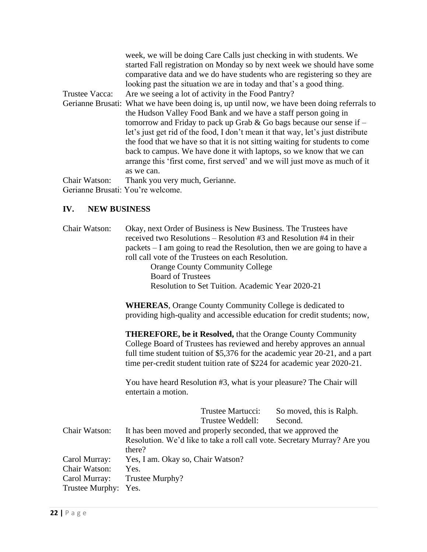|                                   | week, we will be doing Care Calls just checking in with students. We                        |
|-----------------------------------|---------------------------------------------------------------------------------------------|
|                                   | started Fall registration on Monday so by next week we should have some                     |
|                                   | comparative data and we do have students who are registering so they are                    |
|                                   | looking past the situation we are in today and that's a good thing.                         |
| Trustee Vacca:                    | Are we seeing a lot of activity in the Food Pantry?                                         |
|                                   | Gerianne Brusati: What we have been doing is, up until now, we have been doing referrals to |
|                                   | the Hudson Valley Food Bank and we have a staff person going in                             |
|                                   | tomorrow and Friday to pack up Grab & Go bags because our sense if $-$                      |
|                                   | let's just get rid of the food, I don't mean it that way, let's just distribute             |
|                                   | the food that we have so that it is not sitting waiting for students to come                |
|                                   | back to campus. We have done it with laptops, so we know that we can                        |
|                                   | arrange this 'first come, first served' and we will just move as much of it                 |
|                                   | as we can.                                                                                  |
| Chair Watson:                     | Thank you very much, Gerianne.                                                              |
| Gerianne Brusati: You're welcome. |                                                                                             |

# **IV. NEW BUSINESS**

| Chair Watson:   | Okay, next Order of Business is New Business. The Trustees have<br>received two Resolutions – Resolution #3 and Resolution #4 in their<br>packets – I am going to read the Resolution, then we are going to have a<br>roll call vote of the Trustees on each Resolution.<br><b>Orange County Community College</b><br><b>Board of Trustees</b><br>Resolution to Set Tuition. Academic Year 2020-21 |
|-----------------|----------------------------------------------------------------------------------------------------------------------------------------------------------------------------------------------------------------------------------------------------------------------------------------------------------------------------------------------------------------------------------------------------|
|                 | <b>WHEREAS, Orange County Community College is dedicated to</b><br>providing high-quality and accessible education for credit students; now,                                                                                                                                                                                                                                                       |
|                 | <b>THEREFORE, be it Resolved, that the Orange County Community</b><br>College Board of Trustees has reviewed and hereby approves an annual<br>full time student tuition of \$5,376 for the academic year 20-21, and a part<br>time per-credit student tuition rate of \$224 for academic year 2020-21.                                                                                             |
|                 | You have heard Resolution #3, what is your pleasure? The Chair will<br>entertain a motion.                                                                                                                                                                                                                                                                                                         |
|                 | Trustee Martucci:<br>So moved, this is Ralph.<br>Trustee Weddell:<br>Second.                                                                                                                                                                                                                                                                                                                       |
| Chair Watson:   | It has been moved and properly seconded, that we approved the<br>Resolution. We'd like to take a roll call vote. Secretary Murray? Are you<br>there?                                                                                                                                                                                                                                               |
| Carol Murray:   | Yes, I am. Okay so, Chair Watson?                                                                                                                                                                                                                                                                                                                                                                  |
| Chair Watson:   | Yes.                                                                                                                                                                                                                                                                                                                                                                                               |
| Carol Murray:   | Trustee Murphy?                                                                                                                                                                                                                                                                                                                                                                                    |
| Trustee Murphy: | Yes.                                                                                                                                                                                                                                                                                                                                                                                               |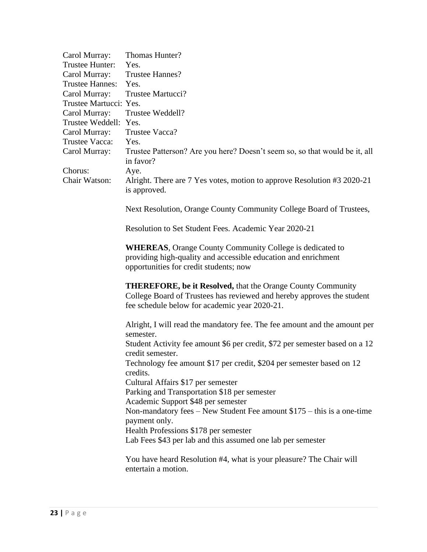| Carol Murray:          | Thomas Hunter?                                                                                                                                                                                |
|------------------------|-----------------------------------------------------------------------------------------------------------------------------------------------------------------------------------------------|
| Trustee Hunter:        | Yes.                                                                                                                                                                                          |
| Carol Murray:          | Trustee Hannes?                                                                                                                                                                               |
| <b>Trustee Hannes:</b> | Yes.                                                                                                                                                                                          |
| Carol Murray:          | Trustee Martucci?                                                                                                                                                                             |
| Trustee Martucci: Yes. |                                                                                                                                                                                               |
| Carol Murray:          | Trustee Weddell?                                                                                                                                                                              |
| Trustee Weddell: Yes.  |                                                                                                                                                                                               |
| Carol Murray:          | Trustee Vacca?                                                                                                                                                                                |
| Trustee Vacca:         | Yes.                                                                                                                                                                                          |
| Carol Murray:          | Trustee Patterson? Are you here? Doesn't seem so, so that would be it, all<br>in favor?                                                                                                       |
| Chorus:                | Aye.                                                                                                                                                                                          |
| Chair Watson:          | Alright. There are 7 Yes votes, motion to approve Resolution #3 2020-21<br>is approved.                                                                                                       |
|                        | Next Resolution, Orange County Community College Board of Trustees,                                                                                                                           |
|                        | Resolution to Set Student Fees. Academic Year 2020-21                                                                                                                                         |
|                        | <b>WHEREAS, Orange County Community College is dedicated to</b><br>providing high-quality and accessible education and enrichment<br>opportunities for credit students; now                   |
|                        | <b>THEREFORE, be it Resolved, that the Orange County Community</b><br>College Board of Trustees has reviewed and hereby approves the student<br>fee schedule below for academic year 2020-21. |
|                        | Alright, I will read the mandatory fee. The fee amount and the amount per<br>semester.                                                                                                        |
|                        | Student Activity fee amount \$6 per credit, \$72 per semester based on a 12<br>credit semester.                                                                                               |
|                        | Technology fee amount \$17 per credit, \$204 per semester based on 12<br>credits.                                                                                                             |
|                        | Cultural Affairs \$17 per semester                                                                                                                                                            |
|                        | Parking and Transportation \$18 per semester                                                                                                                                                  |
|                        | Academic Support \$48 per semester                                                                                                                                                            |
|                        | Non-mandatory fees – New Student Fee amount $$175 - this$ is a one-time<br>payment only.                                                                                                      |
|                        | Health Professions \$178 per semester                                                                                                                                                         |
|                        | Lab Fees \$43 per lab and this assumed one lab per semester                                                                                                                                   |
|                        | You have heard Resolution #4, what is your pleasure? The Chair will<br>entertain a motion.                                                                                                    |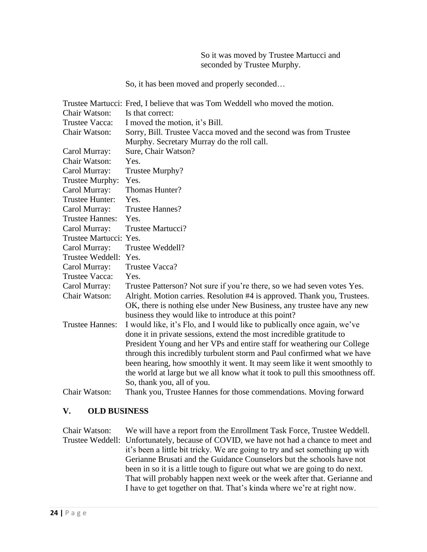So it was moved by Trustee Martucci and seconded by Trustee Murphy.

So, it has been moved and properly seconded…

|                        | Trustee Martucci: Fred, I believe that was Tom Weddell who moved the motion. |  |  |  |
|------------------------|------------------------------------------------------------------------------|--|--|--|
| <b>Chair Watson:</b>   | Is that correct:                                                             |  |  |  |
| Trustee Vacca:         | I moved the motion, it's Bill.                                               |  |  |  |
| Chair Watson:          | Sorry, Bill. Trustee Vacca moved and the second was from Trustee             |  |  |  |
|                        | Murphy. Secretary Murray do the roll call.                                   |  |  |  |
| Carol Murray:          | Sure, Chair Watson?                                                          |  |  |  |
| <b>Chair Watson:</b>   | Yes.                                                                         |  |  |  |
| Carol Murray:          | Trustee Murphy?                                                              |  |  |  |
| Trustee Murphy:        | Yes.                                                                         |  |  |  |
| Carol Murray:          | Thomas Hunter?                                                               |  |  |  |
| Trustee Hunter:        | Yes.                                                                         |  |  |  |
| Carol Murray:          | <b>Trustee Hannes?</b>                                                       |  |  |  |
| <b>Trustee Hannes:</b> | Yes.                                                                         |  |  |  |
| Carol Murray:          | Trustee Martucci?                                                            |  |  |  |
| Trustee Martucci: Yes. |                                                                              |  |  |  |
| Carol Murray:          | Trustee Weddell?                                                             |  |  |  |
| Trustee Weddell:       | Yes.                                                                         |  |  |  |
| Carol Murray:          | Trustee Vacca?                                                               |  |  |  |
| Trustee Vacca:         | Yes.                                                                         |  |  |  |
| Carol Murray:          | Trustee Patterson? Not sure if you're there, so we had seven votes Yes.      |  |  |  |
| Chair Watson:          | Alright. Motion carries. Resolution #4 is approved. Thank you, Trustees.     |  |  |  |
|                        | OK, there is nothing else under New Business, any trustee have any new       |  |  |  |
|                        | business they would like to introduce at this point?                         |  |  |  |
| <b>Trustee Hannes:</b> | I would like, it's Flo, and I would like to publically once again, we've     |  |  |  |
|                        | done it in private sessions, extend the most incredible gratitude to         |  |  |  |
|                        | President Young and her VPs and entire staff for weathering our College      |  |  |  |
|                        | through this incredibly turbulent storm and Paul confirmed what we have      |  |  |  |
|                        | been hearing, how smoothly it went. It may seem like it went smoothly to     |  |  |  |
|                        | the world at large but we all know what it took to pull this smoothness off. |  |  |  |
|                        | So, thank you, all of you.                                                   |  |  |  |
| Chair Watson:          | Thank you, Trustee Hannes for those commendations. Moving forward            |  |  |  |

#### **V. OLD BUSINESS**

Chair Watson: We will have a report from the Enrollment Task Force, Trustee Weddell. Trustee Weddell: Unfortunately, because of COVID, we have not had a chance to meet and it's been a little bit tricky. We are going to try and set something up with Gerianne Brusati and the Guidance Counselors but the schools have not been in so it is a little tough to figure out what we are going to do next. That will probably happen next week or the week after that. Gerianne and I have to get together on that. That's kinda where we're at right now.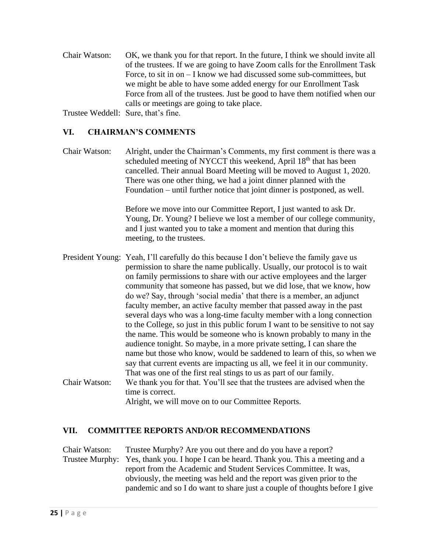Chair Watson: OK, we thank you for that report. In the future, I think we should invite all of the trustees. If we are going to have Zoom calls for the Enrollment Task Force, to sit in on – I know we had discussed some sub-committees, but we might be able to have some added energy for our Enrollment Task Force from all of the trustees. Just be good to have them notified when our calls or meetings are going to take place.

Trustee Weddell: Sure, that's fine.

# **VI. CHAIRMAN'S COMMENTS**

Chair Watson: Alright, under the Chairman's Comments, my first comment is there was a scheduled meeting of NYCCT this weekend, April 18<sup>th</sup> that has been cancelled. Their annual Board Meeting will be moved to August 1, 2020. There was one other thing, we had a joint dinner planned with the Foundation – until further notice that joint dinner is postponed, as well.

> Before we move into our Committee Report, I just wanted to ask Dr. Young, Dr. Young? I believe we lost a member of our college community, and I just wanted you to take a moment and mention that during this meeting, to the trustees.

President Young: Yeah, I'll carefully do this because I don't believe the family gave us permission to share the name publically. Usually, our protocol is to wait on family permissions to share with our active employees and the larger community that someone has passed, but we did lose, that we know, how do we? Say, through 'social media' that there is a member, an adjunct faculty member, an active faculty member that passed away in the past several days who was a long-time faculty member with a long connection to the College, so just in this public forum I want to be sensitive to not say the name. This would be someone who is known probably to many in the audience tonight. So maybe, in a more private setting, I can share the name but those who know, would be saddened to learn of this, so when we say that current events are impacting us all, we feel it in our community. That was one of the first real stings to us as part of our family. Chair Watson: We thank you for that. You'll see that the trustees are advised when the time is correct.

Alright, we will move on to our Committee Reports.

# **VII. COMMITTEE REPORTS AND/OR RECOMMENDATIONS**

Chair Watson: Trustee Murphy? Are you out there and do you have a report? Trustee Murphy: Yes, thank you. I hope I can be heard. Thank you. This a meeting and a report from the Academic and Student Services Committee. It was, obviously, the meeting was held and the report was given prior to the pandemic and so I do want to share just a couple of thoughts before I give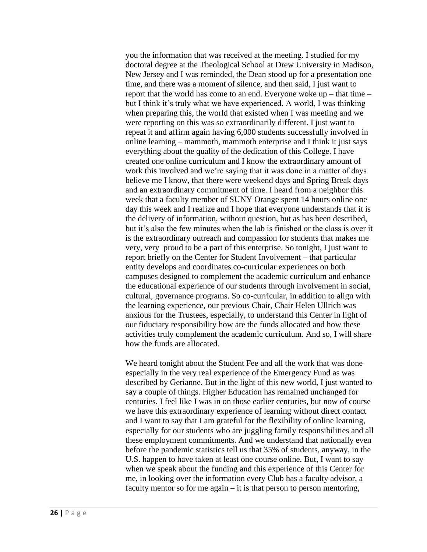you the information that was received at the meeting. I studied for my doctoral degree at the Theological School at Drew University in Madison, New Jersey and I was reminded, the Dean stood up for a presentation one time, and there was a moment of silence, and then said, I just want to report that the world has come to an end. Everyone woke up – that time – but I think it's truly what we have experienced. A world, I was thinking when preparing this, the world that existed when I was meeting and we were reporting on this was so extraordinarily different. I just want to repeat it and affirm again having 6,000 students successfully involved in online learning – mammoth, mammoth enterprise and I think it just says everything about the quality of the dedication of this College. I have created one online curriculum and I know the extraordinary amount of work this involved and we're saying that it was done in a matter of days believe me I know, that there were weekend days and Spring Break days and an extraordinary commitment of time. I heard from a neighbor this week that a faculty member of SUNY Orange spent 14 hours online one day this week and I realize and I hope that everyone understands that it is the delivery of information, without question, but as has been described, but it's also the few minutes when the lab is finished or the class is over it is the extraordinary outreach and compassion for students that makes me very, very proud to be a part of this enterprise. So tonight, I just want to report briefly on the Center for Student Involvement – that particular entity develops and coordinates co-curricular experiences on both campuses designed to complement the academic curriculum and enhance the educational experience of our students through involvement in social, cultural, governance programs. So co-curricular, in addition to align with the learning experience, our previous Chair, Chair Helen Ullrich was anxious for the Trustees, especially, to understand this Center in light of our fiduciary responsibility how are the funds allocated and how these activities truly complement the academic curriculum. And so, I will share how the funds are allocated.

We heard tonight about the Student Fee and all the work that was done especially in the very real experience of the Emergency Fund as was described by Gerianne. But in the light of this new world, I just wanted to say a couple of things. Higher Education has remained unchanged for centuries. I feel like I was in on those earlier centuries, but now of course we have this extraordinary experience of learning without direct contact and I want to say that I am grateful for the flexibility of online learning, especially for our students who are juggling family responsibilities and all these employment commitments. And we understand that nationally even before the pandemic statistics tell us that 35% of students, anyway, in the U.S. happen to have taken at least one course online. But, I want to say when we speak about the funding and this experience of this Center for me, in looking over the information every Club has a faculty advisor, a faculty mentor so for me again – it is that person to person mentoring,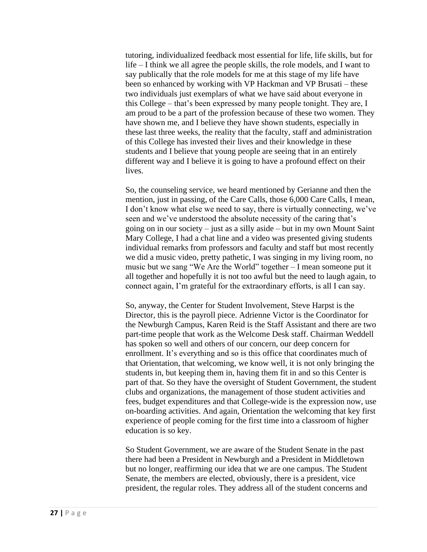tutoring, individualized feedback most essential for life, life skills, but for life – I think we all agree the people skills, the role models, and I want to say publically that the role models for me at this stage of my life have been so enhanced by working with VP Hackman and VP Brusati – these two individuals just exemplars of what we have said about everyone in this College – that's been expressed by many people tonight. They are, I am proud to be a part of the profession because of these two women. They have shown me, and I believe they have shown students, especially in these last three weeks, the reality that the faculty, staff and administration of this College has invested their lives and their knowledge in these students and I believe that young people are seeing that in an entirely different way and I believe it is going to have a profound effect on their lives.

So, the counseling service, we heard mentioned by Gerianne and then the mention, just in passing, of the Care Calls, those 6,000 Care Calls, I mean, I don't know what else we need to say, there is virtually connecting, we've seen and we've understood the absolute necessity of the caring that's going on in our society – just as a silly aside – but in my own Mount Saint Mary College, I had a chat line and a video was presented giving students individual remarks from professors and faculty and staff but most recently we did a music video, pretty pathetic, I was singing in my living room, no music but we sang "We Are the World" together – I mean someone put it all together and hopefully it is not too awful but the need to laugh again, to connect again, I'm grateful for the extraordinary efforts, is all I can say.

So, anyway, the Center for Student Involvement, Steve Harpst is the Director, this is the payroll piece. Adrienne Victor is the Coordinator for the Newburgh Campus, Karen Reid is the Staff Assistant and there are two part-time people that work as the Welcome Desk staff. Chairman Weddell has spoken so well and others of our concern, our deep concern for enrollment. It's everything and so is this office that coordinates much of that Orientation, that welcoming, we know well, it is not only bringing the students in, but keeping them in, having them fit in and so this Center is part of that. So they have the oversight of Student Government, the student clubs and organizations, the management of those student activities and fees, budget expenditures and that College-wide is the expression now, use on-boarding activities. And again, Orientation the welcoming that key first experience of people coming for the first time into a classroom of higher education is so key.

So Student Government, we are aware of the Student Senate in the past there had been a President in Newburgh and a President in Middletown but no longer, reaffirming our idea that we are one campus. The Student Senate, the members are elected, obviously, there is a president, vice president, the regular roles. They address all of the student concerns and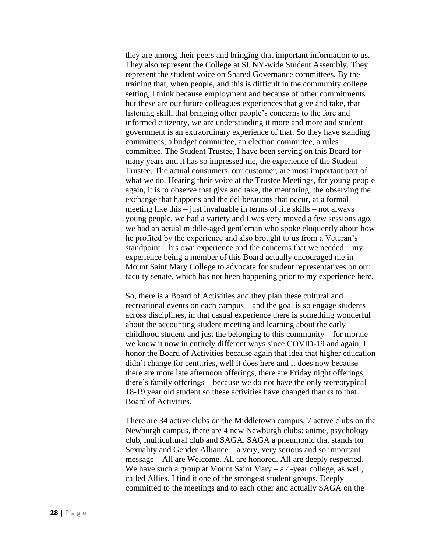they are among their peers and bringing that important information to us. They also represent the College at SUNY-wide Student Assembly. They represent the student voice on Shared Governance committees. By the training that, when people, and this is difficult in the community college setting, I think because employment and because of other commitments but these are our future colleagues experiences that give and take, that listening skill, that bringing other people's concerns to the fore and informed citizenry, we are understanding it more and more and student government is an extraordinary experience of that. So they have standing committees, a budget committee, an election committee, a rules committee. The Student Trustee, I have been serving on this Board for many years and it has so impressed me, the experience of the Student Trustee. The actual consumers, our customer, are most important part of what we do. Hearing their voice at the Trustee Meetings, for young people again, it is to observe that give and take, the mentoring, the observing the exchange that happens and the deliberations that occur, at a formal meeting like this – just invaluable in terms of life skills – not always young people, we had a variety and I was very moved a few sessions ago, we had an actual middle-aged gentleman who spoke eloquently about how he profited by the experience and also brought to us from a Veteran's standpoint – his own experience and the concerns that we needed – my experience being a member of this Board actually encouraged me in Mount Saint Mary College to advocate for student representatives on our faculty senate, which has not been happening prior to my experience here.

So, there is a Board of Activities and they plan these cultural and recreational events on each campus – and the goal is so engage students across disciplines, in that casual experience there is something wonderful about the accounting student meeting and learning about the early childhood student and just the belonging to this community – for morale – we know it now in entirely different ways since COVID-19 and again, I honor the Board of Activities because again that idea that higher education didn't change for centuries, well it does here and it does now because there are more late afternoon offerings, there are Friday night offerings, there's family offerings – because we do not have the only stereotypical 18-19 year old student so these activities have changed thanks to that Board of Activities.

There are 34 active clubs on the Middletown campus, 7 active clubs on the Newburgh campus, there are 4 new Newburgh clubs: anime, psychology club, multicultural club and SAGA. SAGA a pneumonic that stands for Sexuality and Gender Alliance – a very, very serious and so important message – All are Welcome. All are honored. All are deeply respected. We have such a group at Mount Saint Mary  $-$  a 4-year college, as well, called Allies. I find it one of the strongest student groups. Deeply committed to the meetings and to each other and actually SAGA on the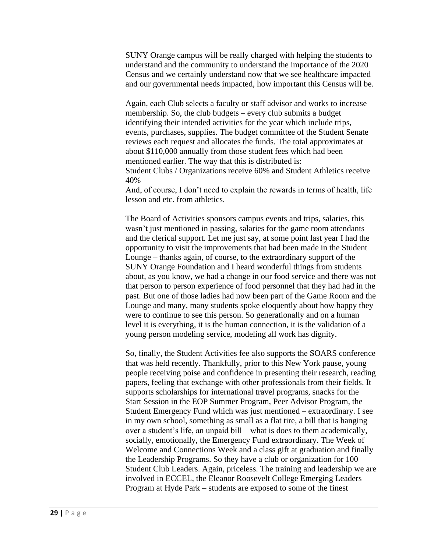SUNY Orange campus will be really charged with helping the students to understand and the community to understand the importance of the 2020 Census and we certainly understand now that we see healthcare impacted and our governmental needs impacted, how important this Census will be.

Again, each Club selects a faculty or staff advisor and works to increase membership. So, the club budgets – every club submits a budget identifying their intended activities for the year which include trips, events, purchases, supplies. The budget committee of the Student Senate reviews each request and allocates the funds. The total approximates at about \$110,000 annually from those student fees which had been mentioned earlier. The way that this is distributed is: Student Clubs / Organizations receive 60% and Student Athletics receive 40%

And, of course, I don't need to explain the rewards in terms of health, life lesson and etc. from athletics.

The Board of Activities sponsors campus events and trips, salaries, this wasn't just mentioned in passing, salaries for the game room attendants and the clerical support. Let me just say, at some point last year I had the opportunity to visit the improvements that had been made in the Student Lounge – thanks again, of course, to the extraordinary support of the SUNY Orange Foundation and I heard wonderful things from students about, as you know, we had a change in our food service and there was not that person to person experience of food personnel that they had had in the past. But one of those ladies had now been part of the Game Room and the Lounge and many, many students spoke eloquently about how happy they were to continue to see this person. So generationally and on a human level it is everything, it is the human connection, it is the validation of a young person modeling service, modeling all work has dignity.

So, finally, the Student Activities fee also supports the SOARS conference that was held recently. Thankfully, prior to this New York pause, young people receiving poise and confidence in presenting their research, reading papers, feeling that exchange with other professionals from their fields. It supports scholarships for international travel programs, snacks for the Start Session in the EOP Summer Program, Peer Advisor Program, the Student Emergency Fund which was just mentioned – extraordinary. I see in my own school, something as small as a flat tire, a bill that is hanging over a student's life, an unpaid bill – what is does to them academically, socially, emotionally, the Emergency Fund extraordinary. The Week of Welcome and Connections Week and a class gift at graduation and finally the Leadership Programs. So they have a club or organization for 100 Student Club Leaders. Again, priceless. The training and leadership we are involved in ECCEL, the Eleanor Roosevelt College Emerging Leaders Program at Hyde Park – students are exposed to some of the finest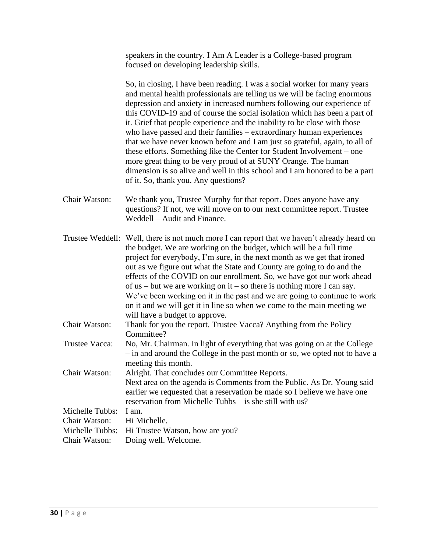speakers in the country. I Am A Leader is a College-based program focused on developing leadership skills.

So, in closing, I have been reading. I was a social worker for many years and mental health professionals are telling us we will be facing enormous depression and anxiety in increased numbers following our experience of this COVID-19 and of course the social isolation which has been a part of it. Grief that people experience and the inability to be close with those who have passed and their families – extraordinary human experiences that we have never known before and I am just so grateful, again, to all of these efforts. Something like the Center for Student Involvement – one more great thing to be very proud of at SUNY Orange. The human dimension is so alive and well in this school and I am honored to be a part of it. So, thank you. Any questions?

Chair Watson: We thank you, Trustee Murphy for that report. Does anyone have any questions? If not, we will move on to our next committee report. Trustee Weddell – Audit and Finance.

Trustee Weddell: Well, there is not much more I can report that we haven't already heard on the budget. We are working on the budget, which will be a full time project for everybody, I'm sure, in the next month as we get that ironed out as we figure out what the State and County are going to do and the effects of the COVID on our enrollment. So, we have got our work ahead of us – but we are working on it – so there is nothing more I can say. We've been working on it in the past and we are going to continue to work on it and we will get it in line so when we come to the main meeting we will have a budget to approve. Chair Watson: Thank for you the report. Trustee Vacca? Anything from the Policy Committee? Trustee Vacca: No, Mr. Chairman. In light of everything that was going on at the College – in and around the College in the past month or so, we opted not to have a meeting this month. Chair Watson: Alright. That concludes our Committee Reports. Next area on the agenda is Comments from the Public. As Dr. Young said earlier we requested that a reservation be made so I believe we have one reservation from Michelle Tubbs – is she still with us? Michelle Tubbs: I am. Chair Watson: Hi Michelle.

| $C1$ $\mathbf{u}$ $\mathbf{u}$ $\mathbf{v}$ $\mathbf{v}$ $\mathbf{u}$ $\mathbf{v}$ $\mathbf{u}$ $\mathbf{v}$ $\mathbf{u}$ $\mathbf{v}$ $\mathbf{u}$ $\mathbf{v}$ $\mathbf{v}$ $\mathbf{v}$ $\mathbf{v}$ $\mathbf{v}$ $\mathbf{v}$ $\mathbf{v}$ $\mathbf{v}$ $\mathbf{v}$ $\mathbf{v}$ $\mathbf{v}$ $\mathbf{v}$ $\math$ |                                                 |
|-------------------------------------------------------------------------------------------------------------------------------------------------------------------------------------------------------------------------------------------------------------------------------------------------------------------------|-------------------------------------------------|
|                                                                                                                                                                                                                                                                                                                         | Michelle Tubbs: Hi Trustee Watson, how are you? |
|                                                                                                                                                                                                                                                                                                                         | Chair Watson: Doing well. Welcome.              |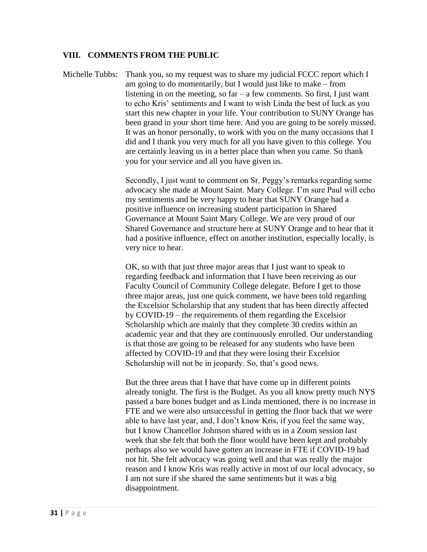# **VIII. COMMENTS FROM THE PUBLIC**

Michelle Tubbs: Thank you, so my request was to share my judicial FCCC report which I am going to do momentarily, but I would just like to make – from listening in on the meeting, so  $far - a$  few comments. So first, I just want to echo Kris' sentiments and I want to wish Linda the best of luck as you start this new chapter in your life. Your contribution to SUNY Orange has been grand in your short time here. And you are going to be sorely missed. It was an honor personally, to work with you on the many occasions that I did and I thank you very much for all you have given to this college. You are certainly leaving us in a better place than when you came. So thank you for your service and all you have given us.

> Secondly, I just want to comment on Sr. Peggy's remarks regarding some advocacy she made at Mount Saint. Mary College. I'm sure Paul will echo my sentiments and be very happy to hear that SUNY Orange had a positive influence on increasing student participation in Shared Governance at Mount Saint Mary College. We are very proud of our Shared Governance and structure here at SUNY Orange and to hear that it had a positive influence, effect on another institution, especially locally, is very nice to hear.

OK, so with that just three major areas that I just want to speak to regarding feedback and information that I have been receiving as our Faculty Council of Community College delegate. Before I get to those three major areas, just one quick comment, we have been told regarding the Excelsior Scholarship that any student that has been directly affected by COVID-19 – the requirements of them regarding the Excelsior Scholarship which are mainly that they complete 30 credits within an academic year and that they are continuously enrolled. Our understanding is that those are going to be released for any students who have been affected by COVID-19 and that they were losing their Excelsior Scholarship will not be in jeopardy. So, that's good news.

But the three areas that I have that have come up in different points already tonight. The first is the Budget. As you all know pretty much NYS passed a bare bones budget and as Linda mentioned, there is no increase in FTE and we were also unsuccessful in getting the floor back that we were able to have last year, and, I don't know Kris, if you feel the same way, but I know Chancellor Johnson shared with us in a Zoom session last week that she felt that both the floor would have been kept and probably perhaps also we would have gotten an increase in FTE if COVID-19 had not hit. She felt advocacy was going well and that was really the major reason and I know Kris was really active in most of our local advocacy, so I am not sure if she shared the same sentiments but it was a big disappointment.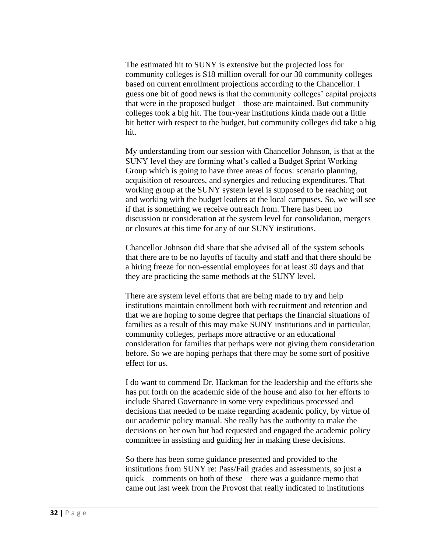The estimated hit to SUNY is extensive but the projected loss for community colleges is \$18 million overall for our 30 community colleges based on current enrollment projections according to the Chancellor. I guess one bit of good news is that the community colleges' capital projects that were in the proposed budget – those are maintained. But community colleges took a big hit. The four-year institutions kinda made out a little bit better with respect to the budget, but community colleges did take a big hit.

My understanding from our session with Chancellor Johnson, is that at the SUNY level they are forming what's called a Budget Sprint Working Group which is going to have three areas of focus: scenario planning, acquisition of resources, and synergies and reducing expenditures. That working group at the SUNY system level is supposed to be reaching out and working with the budget leaders at the local campuses. So, we will see if that is something we receive outreach from. There has been no discussion or consideration at the system level for consolidation, mergers or closures at this time for any of our SUNY institutions.

Chancellor Johnson did share that she advised all of the system schools that there are to be no layoffs of faculty and staff and that there should be a hiring freeze for non-essential employees for at least 30 days and that they are practicing the same methods at the SUNY level.

There are system level efforts that are being made to try and help institutions maintain enrollment both with recruitment and retention and that we are hoping to some degree that perhaps the financial situations of families as a result of this may make SUNY institutions and in particular, community colleges, perhaps more attractive or an educational consideration for families that perhaps were not giving them consideration before. So we are hoping perhaps that there may be some sort of positive effect for us.

I do want to commend Dr. Hackman for the leadership and the efforts she has put forth on the academic side of the house and also for her efforts to include Shared Governance in some very expeditious processed and decisions that needed to be make regarding academic policy, by virtue of our academic policy manual. She really has the authority to make the decisions on her own but had requested and engaged the academic policy committee in assisting and guiding her in making these decisions.

So there has been some guidance presented and provided to the institutions from SUNY re: Pass/Fail grades and assessments, so just a quick – comments on both of these – there was a guidance memo that came out last week from the Provost that really indicated to institutions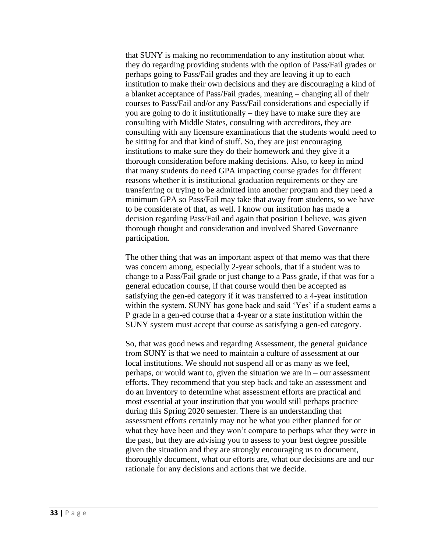that SUNY is making no recommendation to any institution about what they do regarding providing students with the option of Pass/Fail grades or perhaps going to Pass/Fail grades and they are leaving it up to each institution to make their own decisions and they are discouraging a kind of a blanket acceptance of Pass/Fail grades, meaning – changing all of their courses to Pass/Fail and/or any Pass/Fail considerations and especially if you are going to do it institutionally – they have to make sure they are consulting with Middle States, consulting with accreditors, they are consulting with any licensure examinations that the students would need to be sitting for and that kind of stuff. So, they are just encouraging institutions to make sure they do their homework and they give it a thorough consideration before making decisions. Also, to keep in mind that many students do need GPA impacting course grades for different reasons whether it is institutional graduation requirements or they are transferring or trying to be admitted into another program and they need a minimum GPA so Pass/Fail may take that away from students, so we have to be considerate of that, as well. I know our institution has made a decision regarding Pass/Fail and again that position I believe, was given thorough thought and consideration and involved Shared Governance participation.

The other thing that was an important aspect of that memo was that there was concern among, especially 2-year schools, that if a student was to change to a Pass/Fail grade or just change to a Pass grade, if that was for a general education course, if that course would then be accepted as satisfying the gen-ed category if it was transferred to a 4-year institution within the system. SUNY has gone back and said 'Yes' if a student earns a P grade in a gen-ed course that a 4-year or a state institution within the SUNY system must accept that course as satisfying a gen-ed category.

So, that was good news and regarding Assessment, the general guidance from SUNY is that we need to maintain a culture of assessment at our local institutions. We should not suspend all or as many as we feel, perhaps, or would want to, given the situation we are in – our assessment efforts. They recommend that you step back and take an assessment and do an inventory to determine what assessment efforts are practical and most essential at your institution that you would still perhaps practice during this Spring 2020 semester. There is an understanding that assessment efforts certainly may not be what you either planned for or what they have been and they won't compare to perhaps what they were in the past, but they are advising you to assess to your best degree possible given the situation and they are strongly encouraging us to document, thoroughly document, what our efforts are, what our decisions are and our rationale for any decisions and actions that we decide.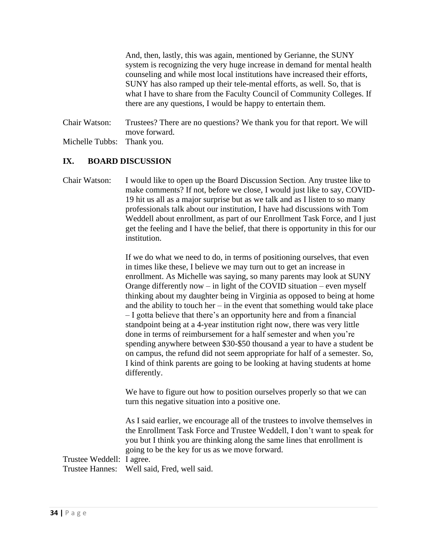And, then, lastly, this was again, mentioned by Gerianne, the SUNY system is recognizing the very huge increase in demand for mental health counseling and while most local institutions have increased their efforts, SUNY has also ramped up their tele-mental efforts, as well. So, that is what I have to share from the Faculty Council of Community Colleges. If there are any questions, I would be happy to entertain them.

Chair Watson: Trustees? There are no questions? We thank you for that report. We will move forward. Michelle Tubbs: Thank you.

# **IX. BOARD DISCUSSION**

Chair Watson: I would like to open up the Board Discussion Section. Any trustee like to make comments? If not, before we close, I would just like to say, COVID-19 hit us all as a major surprise but as we talk and as I listen to so many professionals talk about our institution, I have had discussions with Tom Weddell about enrollment, as part of our Enrollment Task Force, and I just get the feeling and I have the belief, that there is opportunity in this for our institution.

> If we do what we need to do, in terms of positioning ourselves, that even in times like these, I believe we may turn out to get an increase in enrollment. As Michelle was saying, so many parents may look at SUNY Orange differently now – in light of the COVID situation – even myself thinking about my daughter being in Virginia as opposed to being at home and the ability to touch her – in the event that something would take place – I gotta believe that there's an opportunity here and from a financial standpoint being at a 4-year institution right now, there was very little done in terms of reimbursement for a half semester and when you're spending anywhere between \$30-\$50 thousand a year to have a student be on campus, the refund did not seem appropriate for half of a semester. So, I kind of think parents are going to be looking at having students at home differently.

We have to figure out how to position ourselves properly so that we can turn this negative situation into a positive one.

As I said earlier, we encourage all of the trustees to involve themselves in the Enrollment Task Force and Trustee Weddell, I don't want to speak for you but I think you are thinking along the same lines that enrollment is going to be the key for us as we move forward.

Trustee Weddell: I agree. Trustee Hannes: Well said, Fred, well said.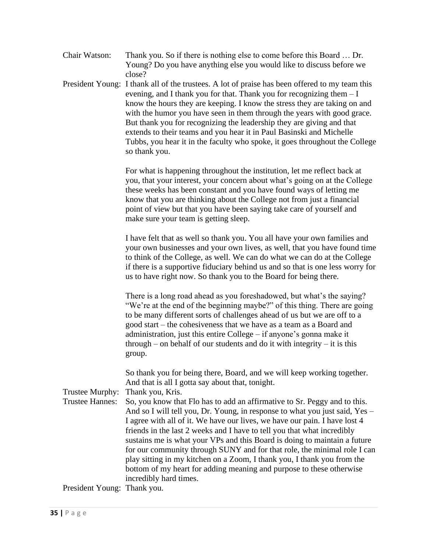| Chair Watson: | Thank you. So if there is nothing else to come before this Board  Dr. |
|---------------|-----------------------------------------------------------------------|
|               | Young? Do you have anything else you would like to discuss before we  |
|               | close?                                                                |

President Young: I thank all of the trustees. A lot of praise has been offered to my team this evening, and I thank you for that. Thank you for recognizing them  $-I$ know the hours they are keeping. I know the stress they are taking on and with the humor you have seen in them through the years with good grace. But thank you for recognizing the leadership they are giving and that extends to their teams and you hear it in Paul Basinski and Michelle Tubbs, you hear it in the faculty who spoke, it goes throughout the College so thank you.

> For what is happening throughout the institution, let me reflect back at you, that your interest, your concern about what's going on at the College these weeks has been constant and you have found ways of letting me know that you are thinking about the College not from just a financial point of view but that you have been saying take care of yourself and make sure your team is getting sleep.

I have felt that as well so thank you. You all have your own families and your own businesses and your own lives, as well, that you have found time to think of the College, as well. We can do what we can do at the College if there is a supportive fiduciary behind us and so that is one less worry for us to have right now. So thank you to the Board for being there.

There is a long road ahead as you foreshadowed, but what's the saying? "We're at the end of the beginning maybe?" of this thing. There are going to be many different sorts of challenges ahead of us but we are off to a good start – the cohesiveness that we have as a team as a Board and administration, just this entire College – if anyone's gonna make it through – on behalf of our students and do it with integrity – it is this group.

So thank you for being there, Board, and we will keep working together. And that is all I gotta say about that, tonight.

Trustee Murphy: Thank you, Kris.

Trustee Hannes: So, you know that Flo has to add an affirmative to Sr. Peggy and to this. And so I will tell you, Dr. Young, in response to what you just said, Yes – I agree with all of it. We have our lives, we have our pain. I have lost 4 friends in the last 2 weeks and I have to tell you that what incredibly sustains me is what your VPs and this Board is doing to maintain a future for our community through SUNY and for that role, the minimal role I can play sitting in my kitchen on a Zoom, I thank you, I thank you from the bottom of my heart for adding meaning and purpose to these otherwise incredibly hard times.

President Young: Thank you.